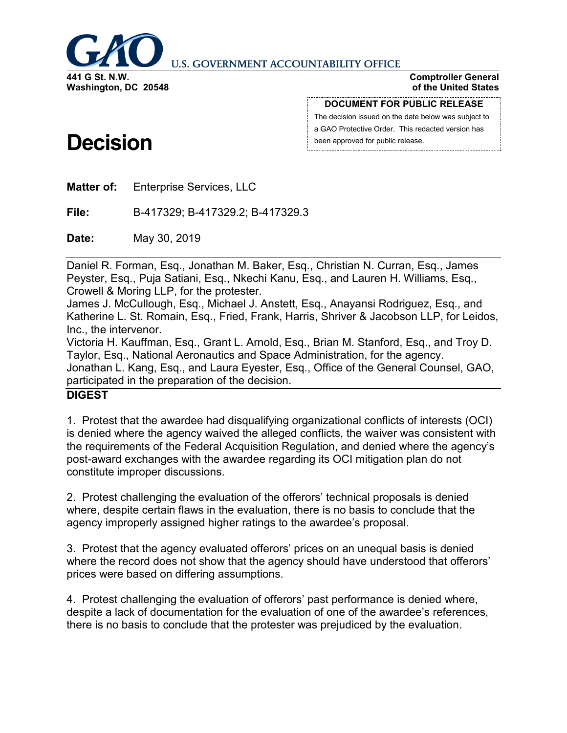

#### **U.S. GOVERNMENT ACCOUNTABILITY OFFICE**

**Comptroller General of the United States**

#### **DOCUMENT FOR PUBLIC RELEASE**

The decision issued on the date below was subject to a GAO Protective Order. This redacted version has been approved for public release.

# **Decision**

**Matter of:** Enterprise Services, LLC

**File:** B-417329; B-417329.2; B-417329.3

**Date:** May 30, 2019

Daniel R. Forman, Esq., Jonathan M. Baker, Esq., Christian N. Curran, Esq., James Peyster, Esq., Puja Satiani, Esq., Nkechi Kanu, Esq., and Lauren H. Williams, Esq., Crowell & Moring LLP, for the protester.

James J. McCullough, Esq., Michael J. Anstett, Esq., Anayansi Rodriguez, Esq., and Katherine L. St. Romain, Esq., Fried, Frank, Harris, Shriver & Jacobson LLP, for Leidos, Inc., the intervenor.

Victoria H. Kauffman, Esq., Grant L. Arnold, Esq., Brian M. Stanford, Esq., and Troy D. Taylor, Esq., National Aeronautics and Space Administration, for the agency. Jonathan L. Kang, Esq., and Laura Eyester, Esq., Office of the General Counsel, GAO, participated in the preparation of the decision.

# **DIGEST**

1. Protest that the awardee had disqualifying organizational conflicts of interests (OCI) is denied where the agency waived the alleged conflicts, the waiver was consistent with the requirements of the Federal Acquisition Regulation, and denied where the agency's post-award exchanges with the awardee regarding its OCI mitigation plan do not constitute improper discussions.

2. Protest challenging the evaluation of the offerors' technical proposals is denied where, despite certain flaws in the evaluation, there is no basis to conclude that the agency improperly assigned higher ratings to the awardee's proposal.

3. Protest that the agency evaluated offerors' prices on an unequal basis is denied where the record does not show that the agency should have understood that offerors' prices were based on differing assumptions.

4. Protest challenging the evaluation of offerors' past performance is denied where, despite a lack of documentation for the evaluation of one of the awardee's references, there is no basis to conclude that the protester was prejudiced by the evaluation.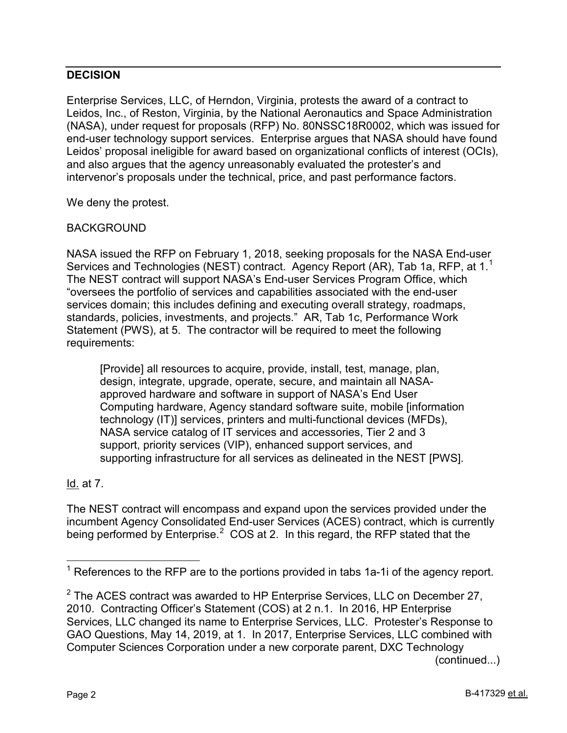# **DECISION**

Enterprise Services, LLC, of Herndon, Virginia, protests the award of a contract to Leidos, Inc., of Reston, Virginia, by the National Aeronautics and Space Administration (NASA), under request for proposals (RFP) No. 80NSSC18R0002, which was issued for end-user technology support services. Enterprise argues that NASA should have found Leidos' proposal ineligible for award based on organizational conflicts of interest (OCIs), and also argues that the agency unreasonably evaluated the protester's and intervenor's proposals under the technical, price, and past performance factors.

We deny the protest.

# BACKGROUND

NASA issued the RFP on February 1, 2018, seeking proposals for the NASA End-user Services and Technologies (NEST) contract. Agency Report (AR), Tab [1](#page-1-0)a, RFP, at 1.<sup>1</sup> The NEST contract will support NASA's End-user Services Program Office, which "oversees the portfolio of services and capabilities associated with the end-user services domain; this includes defining and executing overall strategy, roadmaps, standards, policies, investments, and projects." AR, Tab 1c, Performance Work Statement (PWS), at 5. The contractor will be required to meet the following requirements:

[Provide] all resources to acquire, provide, install, test, manage, plan, design, integrate, upgrade, operate, secure, and maintain all NASAapproved hardware and software in support of NASA's End User Computing hardware, Agency standard software suite, mobile [information technology (IT)] services, printers and multi-functional devices (MFDs), NASA service catalog of IT services and accessories, Tier 2 and 3 support, priority services (VIP), enhanced support services, and supporting infrastructure for all services as delineated in the NEST [PWS].

# Id. at 7.

The NEST contract will encompass and expand upon the services provided under the incumbent Agency Consolidated End-user Services (ACES) contract, which is currently being performed by Enterprise. $^2$  $^2$  COS at 2. In this regard, the RFP stated that the

(continued...)

<span id="page-1-0"></span> $1$  References to the RFP are to the portions provided in tabs 1a-1i of the agency report.

<span id="page-1-1"></span> $2$  The ACES contract was awarded to HP Enterprise Services, LLC on December 27, 2010. Contracting Officer's Statement (COS) at 2 n.1. In 2016, HP Enterprise Services, LLC changed its name to Enterprise Services, LLC. Protester's Response to GAO Questions, May 14, 2019, at 1. In 2017, Enterprise Services, LLC combined with Computer Sciences Corporation under a new corporate parent, DXC Technology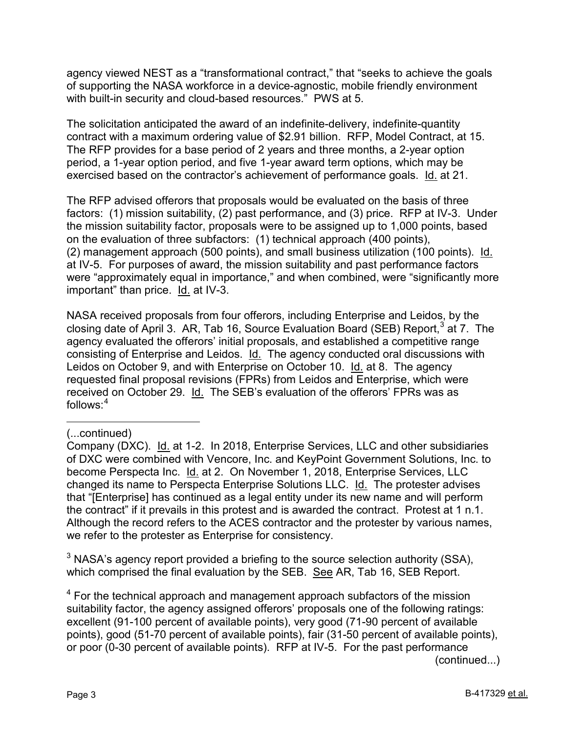agency viewed NEST as a "transformational contract," that "seeks to achieve the goals of supporting the NASA workforce in a device-agnostic, mobile friendly environment with built-in security and cloud-based resources." PWS at 5.

The solicitation anticipated the award of an indefinite-delivery, indefinite-quantity contract with a maximum ordering value of \$2.91 billion. RFP, Model Contract, at 15. The RFP provides for a base period of 2 years and three months, a 2-year option period, a 1-year option period, and five 1-year award term options, which may be exercised based on the contractor's achievement of performance goals. Id. at 21.

The RFP advised offerors that proposals would be evaluated on the basis of three factors: (1) mission suitability, (2) past performance, and (3) price. RFP at IV-3. Under the mission suitability factor, proposals were to be assigned up to 1,000 points, based on the evaluation of three subfactors: (1) technical approach (400 points), (2) management approach (500 points), and small business utilization (100 points). Id. at IV-5. For purposes of award, the mission suitability and past performance factors were "approximately equal in importance," and when combined, were "significantly more important" than price. Id. at IV-3.

NASA received proposals from four offerors, including Enterprise and Leidos, by the closing date of April [3](#page-2-0). AR, Tab 16, Source Evaluation Board (SEB) Report,  $3$  at 7. The agency evaluated the offerors' initial proposals, and established a competitive range consisting of Enterprise and Leidos. Id. The agency conducted oral discussions with Leidos on October 9, and with Enterprise on October 10. Id. at 8. The agency requested final proposal revisions (FPRs) from Leidos and Enterprise, which were received on October 29. Id. The SEB's evaluation of the offerors' FPRs was as follows: $4$ 

 $\overline{a}$ 

<span id="page-2-0"></span> $3$  NASA's agency report provided a briefing to the source selection authority (SSA), which comprised the final evaluation by the SEB. See AR, Tab 16, SEB Report.

<span id="page-2-1"></span> $4$  For the technical approach and management approach subfactors of the mission suitability factor, the agency assigned offerors' proposals one of the following ratings: excellent (91-100 percent of available points), very good (71-90 percent of available points), good (51-70 percent of available points), fair (31-50 percent of available points), or poor (0-30 percent of available points). RFP at IV-5. For the past performance (continued...)

<sup>(...</sup>continued)

Company (DXC). Id. at 1-2. In 2018, Enterprise Services, LLC and other subsidiaries of DXC were combined with Vencore, Inc. and KeyPoint Government Solutions, Inc. to become Perspecta Inc. Id. at 2. On November 1, 2018, Enterprise Services, LLC changed its name to Perspecta Enterprise Solutions LLC. Id. The protester advises that "[Enterprise] has continued as a legal entity under its new name and will perform the contract" if it prevails in this protest and is awarded the contract. Protest at 1 n.1. Although the record refers to the ACES contractor and the protester by various names, we refer to the protester as Enterprise for consistency.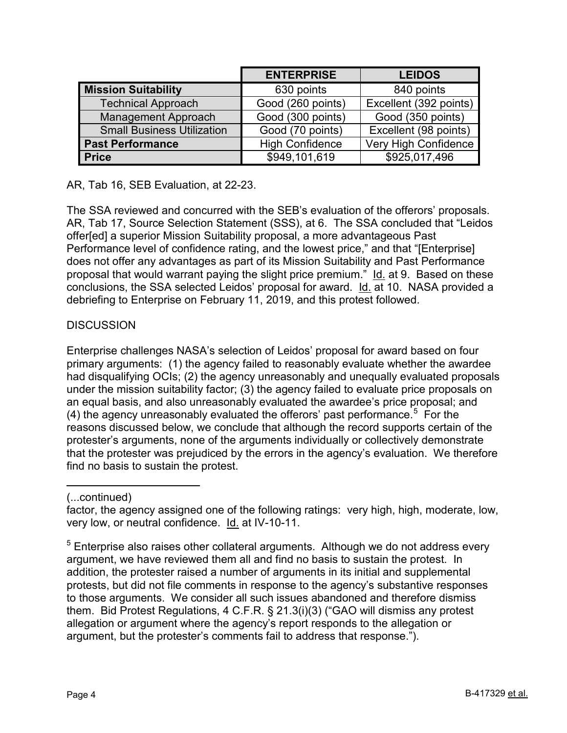|                                   | <b>ENTERPRISE</b>      | <b>LEIDOS</b>          |
|-----------------------------------|------------------------|------------------------|
| <b>Mission Suitability</b>        | 630 points             | 840 points             |
| <b>Technical Approach</b>         | Good (260 points)      | Excellent (392 points) |
| <b>Management Approach</b>        | Good (300 points)      | Good (350 points)      |
| <b>Small Business Utilization</b> | Good (70 points)       | Excellent (98 points)  |
| <b>Past Performance</b>           | <b>High Confidence</b> | Very High Confidence   |
| <b>Price</b>                      | \$949,101,619          | \$925,017,496          |

AR, Tab 16, SEB Evaluation, at 22-23.

The SSA reviewed and concurred with the SEB's evaluation of the offerors' proposals. AR, Tab 17, Source Selection Statement (SSS), at 6. The SSA concluded that "Leidos offer[ed] a superior Mission Suitability proposal, a more advantageous Past Performance level of confidence rating, and the lowest price," and that "[Enterprise] does not offer any advantages as part of its Mission Suitability and Past Performance proposal that would warrant paying the slight price premium." Id. at 9. Based on these conclusions, the SSA selected Leidos' proposal for award. Id. at 10. NASA provided a debriefing to Enterprise on February 11, 2019, and this protest followed.

# **DISCUSSION**

Enterprise challenges NASA's selection of Leidos' proposal for award based on four primary arguments: (1) the agency failed to reasonably evaluate whether the awardee had disqualifying OCIs; (2) the agency unreasonably and unequally evaluated proposals under the mission suitability factor; (3) the agency failed to evaluate price proposals on an equal basis, and also unreasonably evaluated the awardee's price proposal; and (4) the agency unreasonably evaluated the offerors' past performance.<sup>[5](#page-3-0)</sup> For the reasons discussed below, we conclude that although the record supports certain of the protester's arguments, none of the arguments individually or collectively demonstrate that the protester was prejudiced by the errors in the agency's evaluation. We therefore find no basis to sustain the protest.

#### $\overline{a}$ (...continued)

factor, the agency assigned one of the following ratings: very high, high, moderate, low, very low, or neutral confidence. Id. at IV-10-11.

<span id="page-3-0"></span> $5$  Enterprise also raises other collateral arguments. Although we do not address every argument, we have reviewed them all and find no basis to sustain the protest. In addition, the protester raised a number of arguments in its initial and supplemental protests, but did not file comments in response to the agency's substantive responses to those arguments. We consider all such issues abandoned and therefore dismiss them. Bid Protest Regulations, 4 C.F.R. § 21.3(i)(3) ("GAO will dismiss any protest allegation or argument where the agency's report responds to the allegation or argument, but the protester's comments fail to address that response.").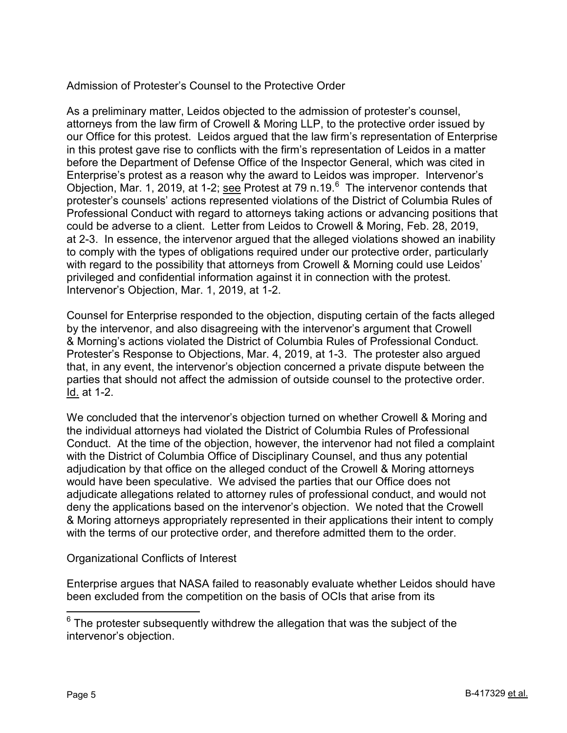# Admission of Protester's Counsel to the Protective Order

As a preliminary matter, Leidos objected to the admission of protester's counsel, attorneys from the law firm of Crowell & Moring LLP, to the protective order issued by our Office for this protest. Leidos argued that the law firm's representation of Enterprise in this protest gave rise to conflicts with the firm's representation of Leidos in a matter before the Department of Defense Office of the Inspector General, which was cited in Enterprise's protest as a reason why the award to Leidos was improper. Intervenor's Objection, Mar. 1, 2019, at 1-2; see Protest at 79 n.19.<sup>[6](#page-4-0)</sup> The intervenor contends that protester's counsels' actions represented violations of the District of Columbia Rules of Professional Conduct with regard to attorneys taking actions or advancing positions that could be adverse to a client. Letter from Leidos to Crowell & Moring, Feb. 28, 2019, at 2-3. In essence, the intervenor argued that the alleged violations showed an inability to comply with the types of obligations required under our protective order, particularly with regard to the possibility that attorneys from Crowell & Morning could use Leidos' privileged and confidential information against it in connection with the protest. Intervenor's Objection, Mar. 1, 2019, at 1-2.

Counsel for Enterprise responded to the objection, disputing certain of the facts alleged by the intervenor, and also disagreeing with the intervenor's argument that Crowell & Morning's actions violated the District of Columbia Rules of Professional Conduct. Protester's Response to Objections, Mar. 4, 2019, at 1-3. The protester also argued that, in any event, the intervenor's objection concerned a private dispute between the parties that should not affect the admission of outside counsel to the protective order. Id. at 1-2.

We concluded that the intervenor's objection turned on whether Crowell & Moring and the individual attorneys had violated the District of Columbia Rules of Professional Conduct. At the time of the objection, however, the intervenor had not filed a complaint with the District of Columbia Office of Disciplinary Counsel, and thus any potential adjudication by that office on the alleged conduct of the Crowell & Moring attorneys would have been speculative. We advised the parties that our Office does not adjudicate allegations related to attorney rules of professional conduct, and would not deny the applications based on the intervenor's objection. We noted that the Crowell & Moring attorneys appropriately represented in their applications their intent to comply with the terms of our protective order, and therefore admitted them to the order.

Organizational Conflicts of Interest

Enterprise argues that NASA failed to reasonably evaluate whether Leidos should have been excluded from the competition on the basis of OCIs that arise from its

<span id="page-4-0"></span> $6$  The protester subsequently withdrew the allegation that was the subject of the intervenor's objection.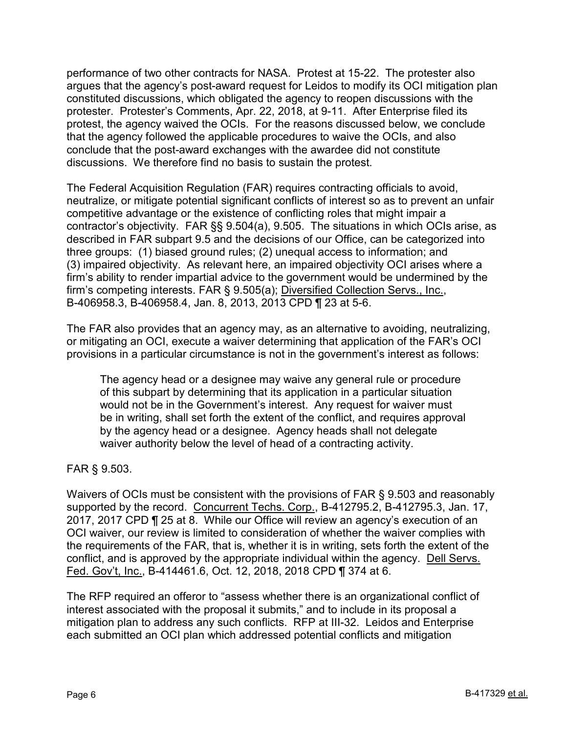performance of two other contracts for NASA. Protest at 15-22. The protester also argues that the agency's post-award request for Leidos to modify its OCI mitigation plan constituted discussions, which obligated the agency to reopen discussions with the protester. Protester's Comments, Apr. 22, 2018, at 9-11. After Enterprise filed its protest, the agency waived the OCIs. For the reasons discussed below, we conclude that the agency followed the applicable procedures to waive the OCIs, and also conclude that the post-award exchanges with the awardee did not constitute discussions. We therefore find no basis to sustain the protest.

The Federal Acquisition Regulation (FAR) requires contracting officials to avoid, neutralize, or mitigate potential significant conflicts of interest so as to prevent an unfair competitive advantage or the existence of conflicting roles that might impair a contractor's objectivity. FAR §§ 9.504(a), 9.505. The situations in which OCIs arise, as described in FAR subpart 9.5 and the decisions of our Office, can be categorized into three groups: (1) biased ground rules; (2) unequal access to information; and (3) impaired objectivity. As relevant here, an impaired objectivity OCI arises where a firm's ability to render impartial advice to the government would be undermined by the firm's competing interests. FAR § 9.505(a); Diversified Collection Servs., Inc., B-406958.3, B-406958.4, Jan. 8, 2013, 2013 CPD ¶ 23 at 5-6.

The FAR also provides that an agency may, as an alternative to avoiding, neutralizing, or mitigating an OCI, execute a waiver determining that application of the FAR's OCI provisions in a particular circumstance is not in the government's interest as follows:

The agency head or a designee may waive any general rule or procedure of this subpart by determining that its application in a particular situation would not be in the Government's interest. Any request for waiver must be in writing, shall set forth the extent of the conflict, and requires approval by the agency head or a designee. Agency heads shall not delegate waiver authority below the level of head of a contracting activity.

FAR § 9.503.

Waivers of OCIs must be consistent with the provisions of FAR § 9.503 and reasonably supported by the record. Concurrent Techs. Corp., B-412795.2, B-412795.3, Jan. 17, 2017, 2017 CPD ¶ 25 at 8. While our Office will review an agency's execution of an OCI waiver, our review is limited to consideration of whether the waiver complies with the requirements of the FAR, that is, whether it is in writing, sets forth the extent of the conflict, and is approved by the appropriate individual within the agency. Dell Servs. Fed. Gov't, Inc., B-414461.6, Oct. 12, 2018, 2018 CPD ¶ 374 at 6.

The RFP required an offeror to "assess whether there is an organizational conflict of interest associated with the proposal it submits," and to include in its proposal a mitigation plan to address any such conflicts. RFP at III-32. Leidos and Enterprise each submitted an OCI plan which addressed potential conflicts and mitigation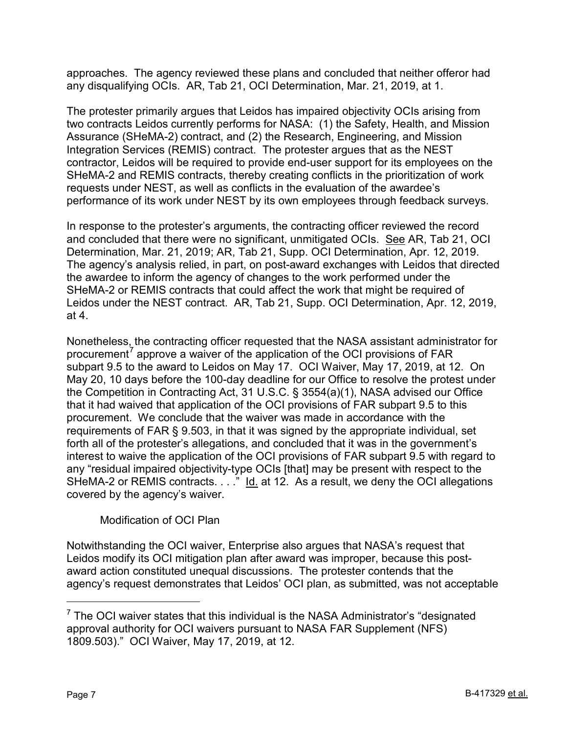approaches. The agency reviewed these plans and concluded that neither offeror had any disqualifying OCIs. AR, Tab 21, OCI Determination, Mar. 21, 2019, at 1.

The protester primarily argues that Leidos has impaired objectivity OCIs arising from two contracts Leidos currently performs for NASA: (1) the Safety, Health, and Mission Assurance (SHeMA-2) contract, and (2) the Research, Engineering, and Mission Integration Services (REMIS) contract. The protester argues that as the NEST contractor, Leidos will be required to provide end-user support for its employees on the SHeMA-2 and REMIS contracts, thereby creating conflicts in the prioritization of work requests under NEST, as well as conflicts in the evaluation of the awardee's performance of its work under NEST by its own employees through feedback surveys.

In response to the protester's arguments, the contracting officer reviewed the record and concluded that there were no significant, unmitigated OCIs. See AR, Tab 21, OCI Determination, Mar. 21, 2019; AR, Tab 21, Supp. OCI Determination, Apr. 12, 2019. The agency's analysis relied, in part, on post-award exchanges with Leidos that directed the awardee to inform the agency of changes to the work performed under the SHeMA-2 or REMIS contracts that could affect the work that might be required of Leidos under the NEST contract. AR, Tab 21, Supp. OCI Determination, Apr. 12, 2019, at 4.

Nonetheless, the contracting officer requested that the NASA assistant administrator for procurement<sup>[7](#page-6-0)</sup> approve a waiver of the application of the OCI provisions of FAR subpart 9.5 to the award to Leidos on May 17. OCI Waiver, May 17, 2019, at 12. On May 20, 10 days before the 100-day deadline for our Office to resolve the protest under the Competition in Contracting Act, 31 U.S.C. § 3554(a)(1), NASA advised our Office that it had waived that application of the OCI provisions of FAR subpart 9.5 to this procurement. We conclude that the waiver was made in accordance with the requirements of FAR § 9.503, in that it was signed by the appropriate individual, set forth all of the protester's allegations, and concluded that it was in the government's interest to waive the application of the OCI provisions of FAR subpart 9.5 with regard to any "residual impaired objectivity-type OCIs [that] may be present with respect to the SHeMA-2 or REMIS contracts. . . ." Id. at 12. As a result, we deny the OCI allegations covered by the agency's waiver.

# Modification of OCI Plan

Notwithstanding the OCI waiver, Enterprise also argues that NASA's request that Leidos modify its OCI mitigation plan after award was improper, because this postaward action constituted unequal discussions. The protester contends that the agency's request demonstrates that Leidos' OCI plan, as submitted, was not acceptable

<span id="page-6-0"></span> $7$  The OCI waiver states that this individual is the NASA Administrator's "designated approval authority for OCI waivers pursuant to NASA FAR Supplement (NFS) 1809.503)." OCI Waiver, May 17, 2019, at 12.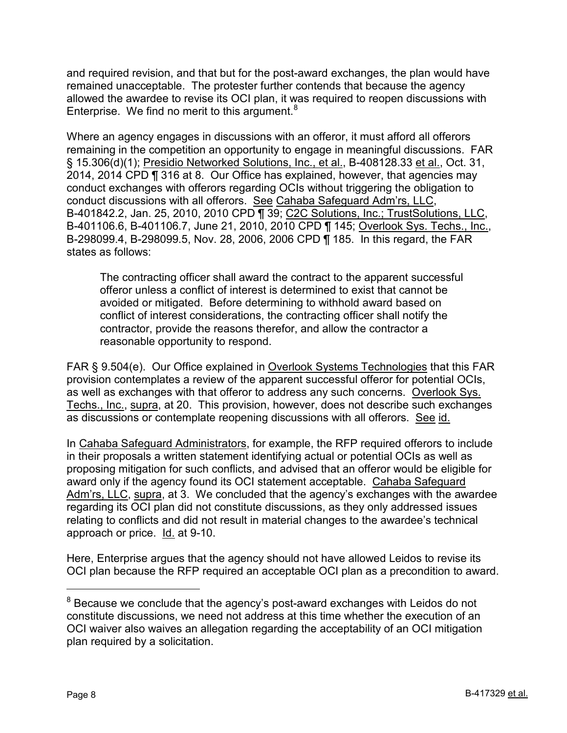and required revision, and that but for the post-award exchanges, the plan would have remained unacceptable. The protester further contends that because the agency allowed the awardee to revise its OCI plan, it was required to reopen discussions with Enterprise. We find no merit to this argument.<sup>[8](#page-7-0)</sup>

Where an agency engages in discussions with an offeror, it must afford all offerors remaining in the competition an opportunity to engage in meaningful discussions. FAR § 15.306(d)(1); Presidio Networked Solutions, Inc., et al., B-408128.33 et al., Oct. 31, 2014, 2014 CPD ¶ 316 at 8. Our Office has explained, however, that agencies may conduct exchanges with offerors regarding OCIs without triggering the obligation to conduct discussions with all offerors. See Cahaba Safeguard Adm'rs, LLC, B-401842.2, Jan. 25, 2010, 2010 CPD ¶ 39; C2C Solutions, Inc.; TrustSolutions, LLC, B-401106.6, B-401106.7, June 21, 2010, 2010 CPD ¶ 145; Overlook Sys. Techs., Inc., B-298099.4, B-298099.5, Nov. 28, 2006, 2006 CPD ¶ 185. In this regard, the FAR states as follows:

The contracting officer shall award the contract to the apparent successful offeror unless a conflict of interest is determined to exist that cannot be avoided or mitigated. Before determining to withhold award based on conflict of interest considerations, the contracting officer shall notify the contractor, provide the reasons therefor, and allow the contractor a reasonable opportunity to respond.

FAR § 9.504(e). Our Office explained in Overlook Systems Technologies that this FAR provision contemplates a review of the apparent successful offeror for potential OCIs, as well as exchanges with that offeror to address any such concerns. Overlook Sys. Techs., Inc., supra, at 20. This provision, however, does not describe such exchanges as discussions or contemplate reopening discussions with all offerors. See id.

In Cahaba Safeguard Administrators, for example, the RFP required offerors to include in their proposals a written statement identifying actual or potential OCIs as well as proposing mitigation for such conflicts, and advised that an offeror would be eligible for award only if the agency found its OCI statement acceptable. Cahaba Safeguard Adm'rs, LLC, supra, at 3. We concluded that the agency's exchanges with the awardee regarding its OCI plan did not constitute discussions, as they only addressed issues relating to conflicts and did not result in material changes to the awardee's technical approach or price. Id. at 9-10.

Here, Enterprise argues that the agency should not have allowed Leidos to revise its OCI plan because the RFP required an acceptable OCI plan as a precondition to award.

<span id="page-7-0"></span> $8$  Because we conclude that the agency's post-award exchanges with Leidos do not constitute discussions, we need not address at this time whether the execution of an OCI waiver also waives an allegation regarding the acceptability of an OCI mitigation plan required by a solicitation.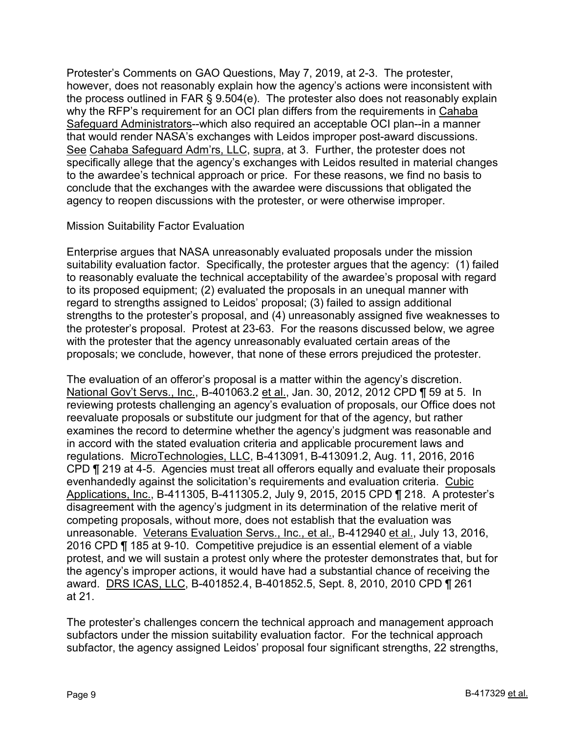Protester's Comments on GAO Questions, May 7, 2019, at 2-3. The protester, however, does not reasonably explain how the agency's actions were inconsistent with the process outlined in FAR § 9.504(e). The protester also does not reasonably explain why the RFP's requirement for an OCI plan differs from the requirements in Cahaba Safeguard Administrators--which also required an acceptable OCI plan--in a manner that would render NASA's exchanges with Leidos improper post-award discussions. See Cahaba Safeguard Adm'rs, LLC, supra, at 3. Further, the protester does not specifically allege that the agency's exchanges with Leidos resulted in material changes to the awardee's technical approach or price. For these reasons, we find no basis to conclude that the exchanges with the awardee were discussions that obligated the agency to reopen discussions with the protester, or were otherwise improper.

# Mission Suitability Factor Evaluation

Enterprise argues that NASA unreasonably evaluated proposals under the mission suitability evaluation factor. Specifically, the protester argues that the agency: (1) failed to reasonably evaluate the technical acceptability of the awardee's proposal with regard to its proposed equipment; (2) evaluated the proposals in an unequal manner with regard to strengths assigned to Leidos' proposal; (3) failed to assign additional strengths to the protester's proposal, and (4) unreasonably assigned five weaknesses to the protester's proposal. Protest at 23-63. For the reasons discussed below, we agree with the protester that the agency unreasonably evaluated certain areas of the proposals; we conclude, however, that none of these errors prejudiced the protester.

The evaluation of an offeror's proposal is a matter within the agency's discretion. National Gov't Servs., Inc., B-401063.2 et al., Jan. 30, 2012, 2012 CPD ¶ 59 at 5. In reviewing protests challenging an agency's evaluation of proposals, our Office does not reevaluate proposals or substitute our judgment for that of the agency, but rather examines the record to determine whether the agency's judgment was reasonable and in accord with the stated evaluation criteria and applicable procurement laws and regulations. MicroTechnologies, LLC, B-413091, B-413091.2, Aug. 11, 2016, 2016 CPD ¶ 219 at 4-5. Agencies must treat all offerors equally and evaluate their proposals evenhandedly against the solicitation's requirements and evaluation criteria. Cubic Applications, Inc., B-411305, B-411305.2, July 9, 2015, 2015 CPD ¶ 218. A protester's disagreement with the agency's judgment in its determination of the relative merit of competing proposals, without more, does not establish that the evaluation was unreasonable. Veterans Evaluation Servs., Inc., et al., B-412940 et al., July 13, 2016, 2016 CPD ¶ 185 at 9-10. Competitive prejudice is an essential element of a viable protest, and we will sustain a protest only where the protester demonstrates that, but for the agency's improper actions, it would have had a substantial chance of receiving the award. DRS ICAS, LLC, B-401852.4, B-401852.5, Sept. 8, 2010, 2010 CPD ¶ 261 at 21.

The protester's challenges concern the technical approach and management approach subfactors under the mission suitability evaluation factor. For the technical approach subfactor, the agency assigned Leidos' proposal four significant strengths, 22 strengths,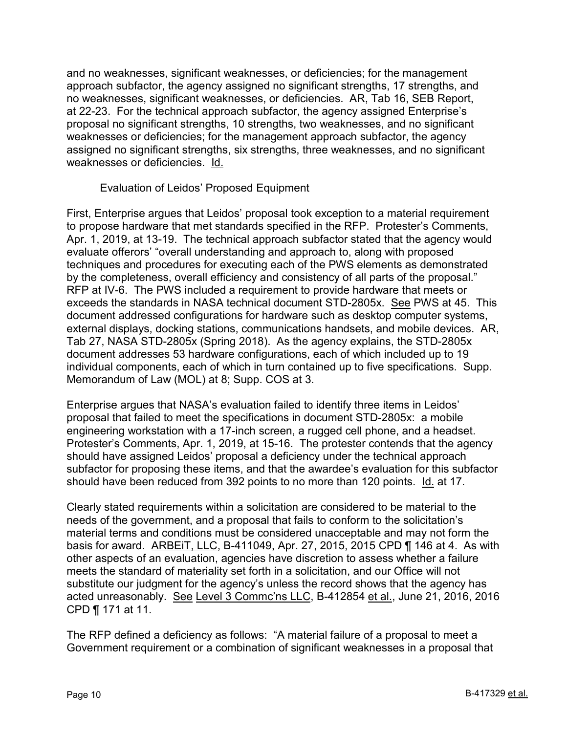and no weaknesses, significant weaknesses, or deficiencies; for the management approach subfactor, the agency assigned no significant strengths, 17 strengths, and no weaknesses, significant weaknesses, or deficiencies. AR, Tab 16, SEB Report, at 22-23. For the technical approach subfactor, the agency assigned Enterprise's proposal no significant strengths, 10 strengths, two weaknesses, and no significant weaknesses or deficiencies; for the management approach subfactor, the agency assigned no significant strengths, six strengths, three weaknesses, and no significant weaknesses or deficiencies. Id.

Evaluation of Leidos' Proposed Equipment

First, Enterprise argues that Leidos' proposal took exception to a material requirement to propose hardware that met standards specified in the RFP. Protester's Comments, Apr. 1, 2019, at 13-19. The technical approach subfactor stated that the agency would evaluate offerors' "overall understanding and approach to, along with proposed techniques and procedures for executing each of the PWS elements as demonstrated by the completeness, overall efficiency and consistency of all parts of the proposal." RFP at IV-6. The PWS included a requirement to provide hardware that meets or exceeds the standards in NASA technical document STD-2805x. See PWS at 45. This document addressed configurations for hardware such as desktop computer systems, external displays, docking stations, communications handsets, and mobile devices. AR, Tab 27, NASA STD-2805x (Spring 2018). As the agency explains, the STD-2805x document addresses 53 hardware configurations, each of which included up to 19 individual components, each of which in turn contained up to five specifications. Supp. Memorandum of Law (MOL) at 8; Supp. COS at 3.

Enterprise argues that NASA's evaluation failed to identify three items in Leidos' proposal that failed to meet the specifications in document STD-2805x: a mobile engineering workstation with a 17-inch screen, a rugged cell phone, and a headset. Protester's Comments, Apr. 1, 2019, at 15-16. The protester contends that the agency should have assigned Leidos' proposal a deficiency under the technical approach subfactor for proposing these items, and that the awardee's evaluation for this subfactor should have been reduced from 392 points to no more than 120 points. Id. at 17.

Clearly stated requirements within a solicitation are considered to be material to the needs of the government, and a proposal that fails to conform to the solicitation's material terms and conditions must be considered unacceptable and may not form the basis for award. ARBEiT, LLC, B-411049, Apr. 27, 2015, 2015 CPD ¶ 146 at 4. As with other aspects of an evaluation, agencies have discretion to assess whether a failure meets the standard of materiality set forth in a solicitation, and our Office will not substitute our judgment for the agency's unless the record shows that the agency has acted unreasonably. See Level 3 Commc'ns LLC, B-412854 et al., June 21, 2016, 2016 CPD ¶ 171 at 11.

The RFP defined a deficiency as follows: "A material failure of a proposal to meet a Government requirement or a combination of significant weaknesses in a proposal that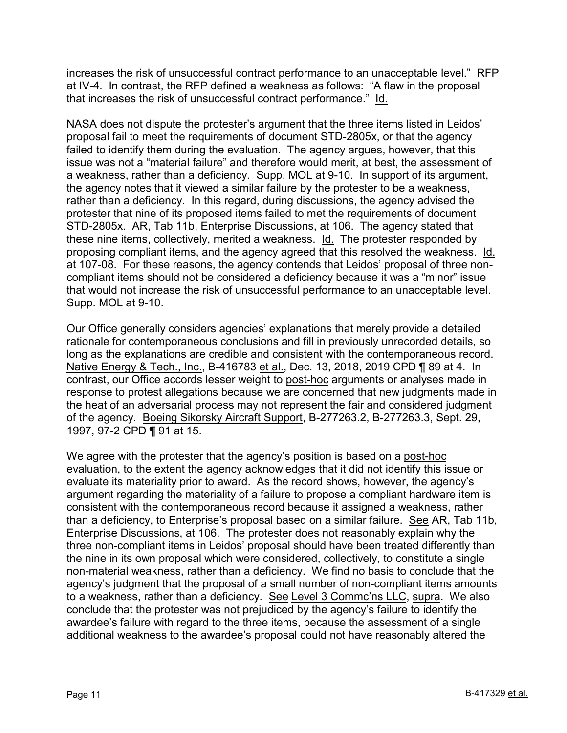increases the risk of unsuccessful contract performance to an unacceptable level." RFP at IV-4. In contrast, the RFP defined a weakness as follows: "A flaw in the proposal that increases the risk of unsuccessful contract performance." Id.

NASA does not dispute the protester's argument that the three items listed in Leidos' proposal fail to meet the requirements of document STD-2805x, or that the agency failed to identify them during the evaluation. The agency argues, however, that this issue was not a "material failure" and therefore would merit, at best, the assessment of a weakness, rather than a deficiency. Supp. MOL at 9-10. In support of its argument, the agency notes that it viewed a similar failure by the protester to be a weakness, rather than a deficiency. In this regard, during discussions, the agency advised the protester that nine of its proposed items failed to met the requirements of document STD-2805x. AR, Tab 11b, Enterprise Discussions, at 106. The agency stated that these nine items, collectively, merited a weakness. Id. The protester responded by proposing compliant items, and the agency agreed that this resolved the weakness. Id. at 107-08. For these reasons, the agency contends that Leidos' proposal of three noncompliant items should not be considered a deficiency because it was a "minor" issue that would not increase the risk of unsuccessful performance to an unacceptable level. Supp. MOL at 9-10.

Our Office generally considers agencies' explanations that merely provide a detailed rationale for contemporaneous conclusions and fill in previously unrecorded details, so long as the explanations are credible and consistent with the contemporaneous record. Native Energy & Tech., Inc., B-416783 et al., Dec. 13, 2018, 2019 CPD ¶ 89 at 4. In contrast, our Office accords lesser weight to post-hoc arguments or analyses made in response to protest allegations because we are concerned that new judgments made in the heat of an adversarial process may not represent the fair and considered judgment of the agency. Boeing Sikorsky Aircraft Support, B-277263.2, B-277263.3, Sept. 29, 1997, 97-2 CPD ¶ 91 at 15.

We agree with the protester that the agency's position is based on a post-hoc evaluation, to the extent the agency acknowledges that it did not identify this issue or evaluate its materiality prior to award. As the record shows, however, the agency's argument regarding the materiality of a failure to propose a compliant hardware item is consistent with the contemporaneous record because it assigned a weakness, rather than a deficiency, to Enterprise's proposal based on a similar failure. See AR, Tab 11b, Enterprise Discussions, at 106. The protester does not reasonably explain why the three non-compliant items in Leidos' proposal should have been treated differently than the nine in its own proposal which were considered, collectively, to constitute a single non-material weakness, rather than a deficiency. We find no basis to conclude that the agency's judgment that the proposal of a small number of non-compliant items amounts to a weakness, rather than a deficiency. See Level 3 Commc'ns LLC, supra. We also conclude that the protester was not prejudiced by the agency's failure to identify the awardee's failure with regard to the three items, because the assessment of a single additional weakness to the awardee's proposal could not have reasonably altered the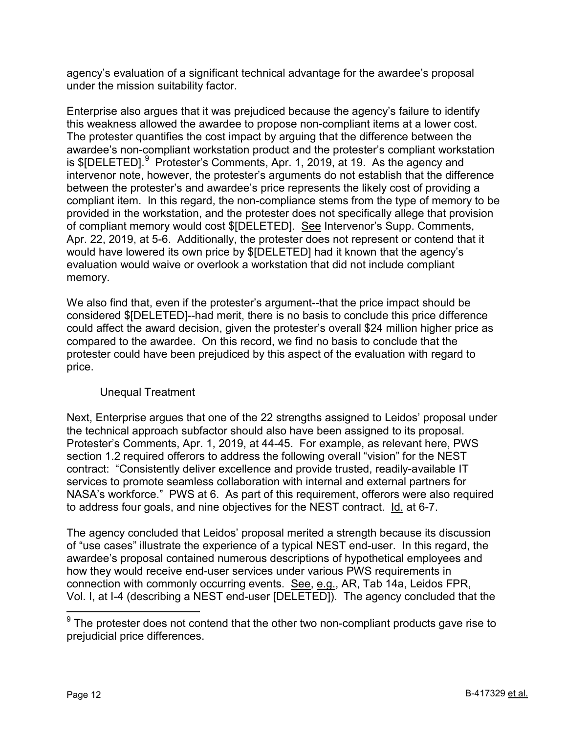agency's evaluation of a significant technical advantage for the awardee's proposal under the mission suitability factor.

Enterprise also argues that it was prejudiced because the agency's failure to identify this weakness allowed the awardee to propose non-compliant items at a lower cost. The protester quantifies the cost impact by arguing that the difference between the awardee's non-compliant workstation product and the protester's compliant workstation is \$[DELETED].<sup>[9](#page-11-0)</sup> Protester's Comments, Apr. 1, 2019, at 19. As the agency and intervenor note, however, the protester's arguments do not establish that the difference between the protester's and awardee's price represents the likely cost of providing a compliant item. In this regard, the non-compliance stems from the type of memory to be provided in the workstation, and the protester does not specifically allege that provision of compliant memory would cost \$[DELETED]. See Intervenor's Supp. Comments, Apr. 22, 2019, at 5-6. Additionally, the protester does not represent or contend that it would have lowered its own price by \$[DELETED] had it known that the agency's evaluation would waive or overlook a workstation that did not include compliant memory.

We also find that, even if the protester's argument--that the price impact should be considered \$[DELETED]--had merit, there is no basis to conclude this price difference could affect the award decision, given the protester's overall \$24 million higher price as compared to the awardee. On this record, we find no basis to conclude that the protester could have been prejudiced by this aspect of the evaluation with regard to price.

# Unequal Treatment

Next, Enterprise argues that one of the 22 strengths assigned to Leidos' proposal under the technical approach subfactor should also have been assigned to its proposal. Protester's Comments, Apr. 1, 2019, at 44-45. For example, as relevant here, PWS section 1.2 required offerors to address the following overall "vision" for the NEST contract: "Consistently deliver excellence and provide trusted, readily-available IT services to promote seamless collaboration with internal and external partners for NASA's workforce." PWS at 6. As part of this requirement, offerors were also required to address four goals, and nine objectives for the NEST contract. Id. at 6-7.

The agency concluded that Leidos' proposal merited a strength because its discussion of "use cases" illustrate the experience of a typical NEST end-user. In this regard, the awardee's proposal contained numerous descriptions of hypothetical employees and how they would receive end-user services under various PWS requirements in connection with commonly occurring events. See, e.g., AR, Tab 14a, Leidos FPR, Vol. I, at I-4 (describing a NEST end-user [DELETED]). The agency concluded that the

<span id="page-11-0"></span> $9$  The protester does not contend that the other two non-compliant products gave rise to prejudicial price differences.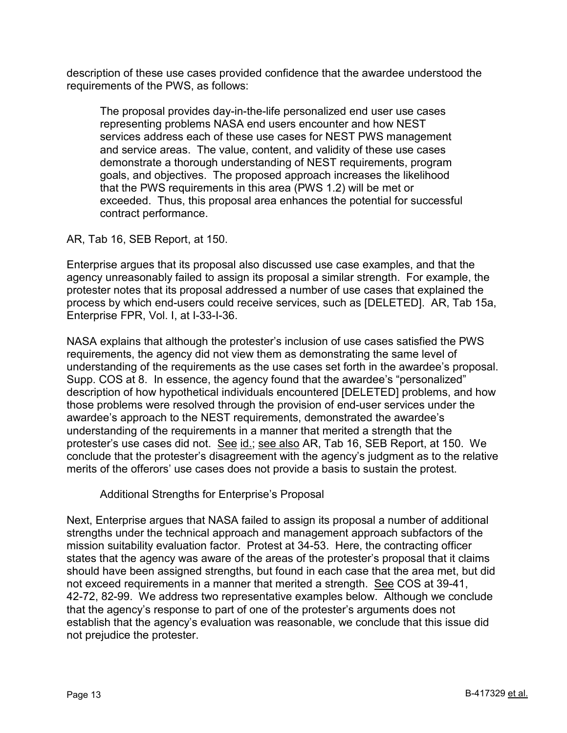description of these use cases provided confidence that the awardee understood the requirements of the PWS, as follows:

The proposal provides day-in-the-life personalized end user use cases representing problems NASA end users encounter and how NEST services address each of these use cases for NEST PWS management and service areas. The value, content, and validity of these use cases demonstrate a thorough understanding of NEST requirements, program goals, and objectives. The proposed approach increases the likelihood that the PWS requirements in this area (PWS 1.2) will be met or exceeded. Thus, this proposal area enhances the potential for successful contract performance.

AR, Tab 16, SEB Report, at 150.

Enterprise argues that its proposal also discussed use case examples, and that the agency unreasonably failed to assign its proposal a similar strength. For example, the protester notes that its proposal addressed a number of use cases that explained the process by which end-users could receive services, such as [DELETED]. AR, Tab 15a, Enterprise FPR, Vol. I, at I-33-I-36.

NASA explains that although the protester's inclusion of use cases satisfied the PWS requirements, the agency did not view them as demonstrating the same level of understanding of the requirements as the use cases set forth in the awardee's proposal. Supp. COS at 8. In essence, the agency found that the awardee's "personalized" description of how hypothetical individuals encountered [DELETED] problems, and how those problems were resolved through the provision of end-user services under the awardee's approach to the NEST requirements, demonstrated the awardee's understanding of the requirements in a manner that merited a strength that the protester's use cases did not. See id.; see also AR, Tab 16, SEB Report, at 150. We conclude that the protester's disagreement with the agency's judgment as to the relative merits of the offerors' use cases does not provide a basis to sustain the protest.

Additional Strengths for Enterprise's Proposal

Next, Enterprise argues that NASA failed to assign its proposal a number of additional strengths under the technical approach and management approach subfactors of the mission suitability evaluation factor. Protest at 34-53. Here, the contracting officer states that the agency was aware of the areas of the protester's proposal that it claims should have been assigned strengths, but found in each case that the area met, but did not exceed requirements in a manner that merited a strength. See COS at 39-41, 42-72, 82-99. We address two representative examples below. Although we conclude that the agency's response to part of one of the protester's arguments does not establish that the agency's evaluation was reasonable, we conclude that this issue did not prejudice the protester.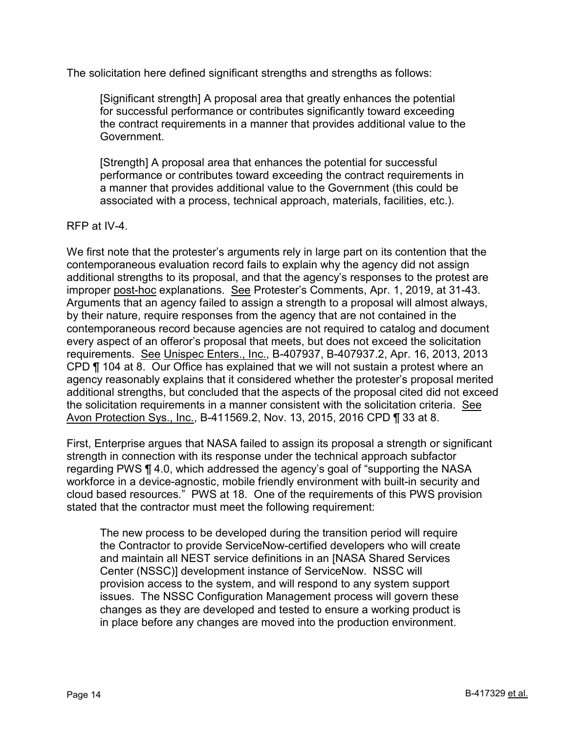The solicitation here defined significant strengths and strengths as follows:

[Significant strength] A proposal area that greatly enhances the potential for successful performance or contributes significantly toward exceeding the contract requirements in a manner that provides additional value to the Government.

[Strength] A proposal area that enhances the potential for successful performance or contributes toward exceeding the contract requirements in a manner that provides additional value to the Government (this could be associated with a process, technical approach, materials, facilities, etc.).

#### RFP at IV-4.

We first note that the protester's arguments rely in large part on its contention that the contemporaneous evaluation record fails to explain why the agency did not assign additional strengths to its proposal, and that the agency's responses to the protest are improper post-hoc explanations. See Protester's Comments, Apr. 1, 2019, at 31-43. Arguments that an agency failed to assign a strength to a proposal will almost always, by their nature, require responses from the agency that are not contained in the contemporaneous record because agencies are not required to catalog and document every aspect of an offeror's proposal that meets, but does not exceed the solicitation requirements. See Unispec Enters., Inc., B-407937, B-407937.2, Apr. 16, 2013, 2013 CPD ¶ 104 at 8. Our Office has explained that we will not sustain a protest where an agency reasonably explains that it considered whether the protester's proposal merited additional strengths, but concluded that the aspects of the proposal cited did not exceed the solicitation requirements in a manner consistent with the solicitation criteria. See Avon Protection Sys., Inc., B-411569.2, Nov. 13, 2015, 2016 CPD ¶ 33 at 8.

First, Enterprise argues that NASA failed to assign its proposal a strength or significant strength in connection with its response under the technical approach subfactor regarding PWS ¶ 4.0, which addressed the agency's goal of "supporting the NASA workforce in a device-agnostic, mobile friendly environment with built-in security and cloud based resources." PWS at 18. One of the requirements of this PWS provision stated that the contractor must meet the following requirement:

The new process to be developed during the transition period will require the Contractor to provide ServiceNow-certified developers who will create and maintain all NEST service definitions in an [NASA Shared Services Center (NSSC)] development instance of ServiceNow. NSSC will provision access to the system, and will respond to any system support issues. The NSSC Configuration Management process will govern these changes as they are developed and tested to ensure a working product is in place before any changes are moved into the production environment.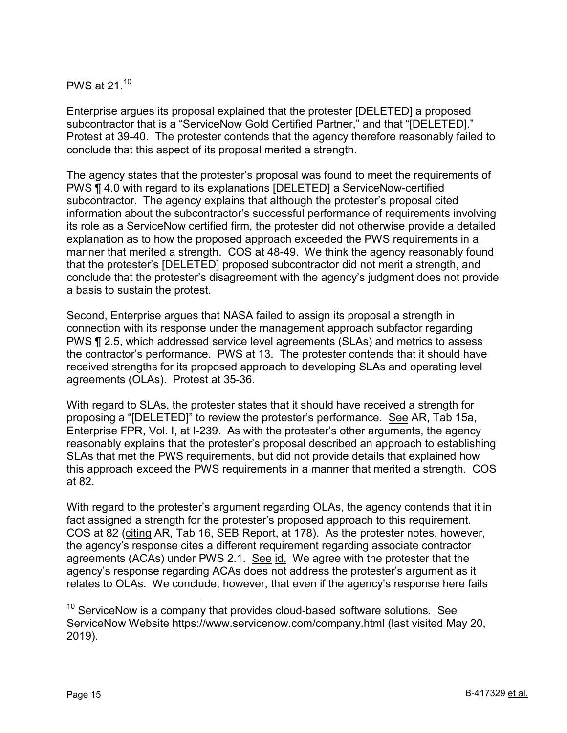PWS at 21.[10](#page-14-0)

Enterprise argues its proposal explained that the protester [DELETED] a proposed subcontractor that is a "ServiceNow Gold Certified Partner," and that "[DELETED]." Protest at 39-40. The protester contends that the agency therefore reasonably failed to conclude that this aspect of its proposal merited a strength.

The agency states that the protester's proposal was found to meet the requirements of PWS ¶ 4.0 with regard to its explanations [DELETED] a ServiceNow-certified subcontractor. The agency explains that although the protester's proposal cited information about the subcontractor's successful performance of requirements involving its role as a ServiceNow certified firm, the protester did not otherwise provide a detailed explanation as to how the proposed approach exceeded the PWS requirements in a manner that merited a strength. COS at 48-49. We think the agency reasonably found that the protester's [DELETED] proposed subcontractor did not merit a strength, and conclude that the protester's disagreement with the agency's judgment does not provide a basis to sustain the protest.

Second, Enterprise argues that NASA failed to assign its proposal a strength in connection with its response under the management approach subfactor regarding PWS ¶ 2.5, which addressed service level agreements (SLAs) and metrics to assess the contractor's performance. PWS at 13. The protester contends that it should have received strengths for its proposed approach to developing SLAs and operating level agreements (OLAs). Protest at 35-36.

With regard to SLAs, the protester states that it should have received a strength for proposing a "[DELETED]" to review the protester's performance. See AR, Tab 15a, Enterprise FPR, Vol. I, at I-239. As with the protester's other arguments, the agency reasonably explains that the protester's proposal described an approach to establishing SLAs that met the PWS requirements, but did not provide details that explained how this approach exceed the PWS requirements in a manner that merited a strength. COS at 82.

With regard to the protester's argument regarding OLAs, the agency contends that it in fact assigned a strength for the protester's proposed approach to this requirement. COS at 82 (citing AR, Tab 16, SEB Report, at 178). As the protester notes, however, the agency's response cites a different requirement regarding associate contractor agreements (ACAs) under PWS 2.1. See id. We agree with the protester that the agency's response regarding ACAs does not address the protester's argument as it relates to OLAs. We conclude, however, that even if the agency's response here fails

<span id="page-14-0"></span> $10$  ServiceNow is a company that provides cloud-based software solutions. See ServiceNow Website https://www.servicenow.com/company.html (last visited May 20, 2019).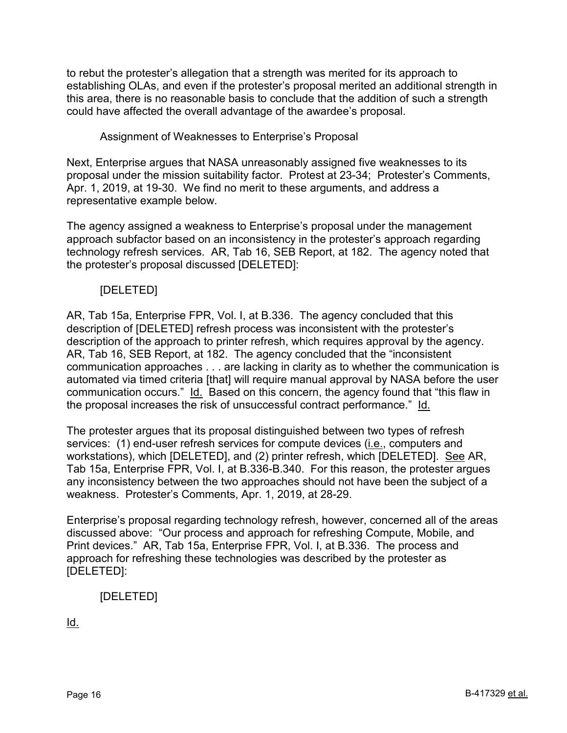to rebut the protester's allegation that a strength was merited for its approach to establishing OLAs, and even if the protester's proposal merited an additional strength in this area, there is no reasonable basis to conclude that the addition of such a strength could have affected the overall advantage of the awardee's proposal.

# Assignment of Weaknesses to Enterprise's Proposal

Next, Enterprise argues that NASA unreasonably assigned five weaknesses to its proposal under the mission suitability factor. Protest at 23-34; Protester's Comments, Apr. 1, 2019, at 19-30. We find no merit to these arguments, and address a representative example below.

The agency assigned a weakness to Enterprise's proposal under the management approach subfactor based on an inconsistency in the protester's approach regarding technology refresh services. AR, Tab 16, SEB Report, at 182. The agency noted that the protester's proposal discussed [DELETED]:

# [DELETED]

AR, Tab 15a, Enterprise FPR, Vol. I, at B.336. The agency concluded that this description of [DELETED] refresh process was inconsistent with the protester's description of the approach to printer refresh, which requires approval by the agency. AR, Tab 16, SEB Report, at 182. The agency concluded that the "inconsistent communication approaches . . . are lacking in clarity as to whether the communication is automated via timed criteria [that] will require manual approval by NASA before the user communication occurs." Id. Based on this concern, the agency found that "this flaw in the proposal increases the risk of unsuccessful contract performance." Id.

The protester argues that its proposal distinguished between two types of refresh services: (1) end-user refresh services for compute devices (i.e., computers and workstations), which [DELETED], and (2) printer refresh, which [DELETED]. See AR, Tab 15a, Enterprise FPR, Vol. I, at B.336-B.340. For this reason, the protester argues any inconsistency between the two approaches should not have been the subject of a weakness. Protester's Comments, Apr. 1, 2019, at 28-29.

Enterprise's proposal regarding technology refresh, however, concerned all of the areas discussed above: "Our process and approach for refreshing Compute, Mobile, and Print devices." AR, Tab 15a, Enterprise FPR, Vol. I, at B.336. The process and approach for refreshing these technologies was described by the protester as [DELETED]:

# [DELETED]

Id.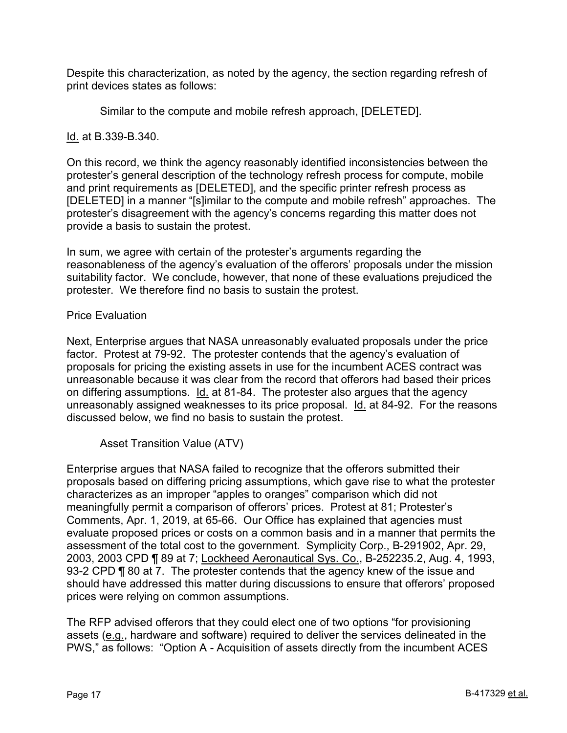Despite this characterization, as noted by the agency, the section regarding refresh of print devices states as follows:

Similar to the compute and mobile refresh approach, [DELETED].

Id. at B.339-B.340.

On this record, we think the agency reasonably identified inconsistencies between the protester's general description of the technology refresh process for compute, mobile and print requirements as [DELETED], and the specific printer refresh process as [DELETED] in a manner "[s]imilar to the compute and mobile refresh" approaches. The protester's disagreement with the agency's concerns regarding this matter does not provide a basis to sustain the protest.

In sum, we agree with certain of the protester's arguments regarding the reasonableness of the agency's evaluation of the offerors' proposals under the mission suitability factor. We conclude, however, that none of these evaluations prejudiced the protester. We therefore find no basis to sustain the protest.

# Price Evaluation

Next, Enterprise argues that NASA unreasonably evaluated proposals under the price factor. Protest at 79-92. The protester contends that the agency's evaluation of proposals for pricing the existing assets in use for the incumbent ACES contract was unreasonable because it was clear from the record that offerors had based their prices on differing assumptions. Id. at 81-84. The protester also argues that the agency unreasonably assigned weaknesses to its price proposal. Id. at 84-92. For the reasons discussed below, we find no basis to sustain the protest.

Asset Transition Value (ATV)

Enterprise argues that NASA failed to recognize that the offerors submitted their proposals based on differing pricing assumptions, which gave rise to what the protester characterizes as an improper "apples to oranges" comparison which did not meaningfully permit a comparison of offerors' prices. Protest at 81; Protester's Comments, Apr. 1, 2019, at 65-66. Our Office has explained that agencies must evaluate proposed prices or costs on a common basis and in a manner that permits the assessment of the total cost to the government. Symplicity Corp., B-291902, Apr. 29, 2003, 2003 CPD ¶ 89 at 7; Lockheed Aeronautical Sys. Co., B-252235.2, Aug. 4, 1993, 93-2 CPD ¶ 80 at 7. The protester contends that the agency knew of the issue and should have addressed this matter during discussions to ensure that offerors' proposed prices were relying on common assumptions.

The RFP advised offerors that they could elect one of two options "for provisioning assets (e.g., hardware and software) required to deliver the services delineated in the PWS," as follows: "Option A - Acquisition of assets directly from the incumbent ACES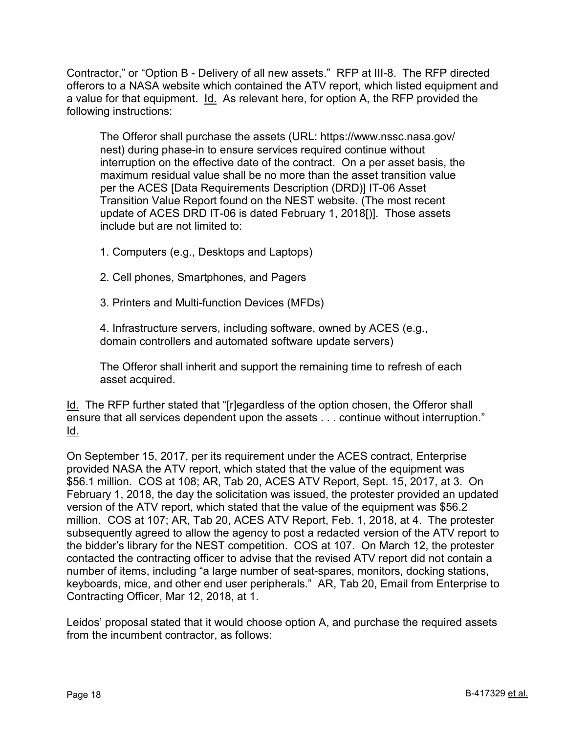Contractor," or "Option B - Delivery of all new assets." RFP at III-8. The RFP directed offerors to a NASA website which contained the ATV report, which listed equipment and a value for that equipment. Id. As relevant here, for option A, the RFP provided the following instructions:

The Offeror shall purchase the assets (URL: https://www.nssc.nasa.gov/ nest) during phase-in to ensure services required continue without interruption on the effective date of the contract. On a per asset basis, the maximum residual value shall be no more than the asset transition value per the ACES [Data Requirements Description (DRD)] IT-06 Asset Transition Value Report found on the NEST website. (The most recent update of ACES DRD IT-06 is dated February 1, 2018[)]. Those assets include but are not limited to:

1. Computers (e.g., Desktops and Laptops)

2. Cell phones, Smartphones, and Pagers

3. Printers and Multi-function Devices (MFDs)

4. Infrastructure servers, including software, owned by ACES (e.g., domain controllers and automated software update servers)

The Offeror shall inherit and support the remaining time to refresh of each asset acquired.

Id. The RFP further stated that "[r]egardless of the option chosen, the Offeror shall ensure that all services dependent upon the assets . . . continue without interruption." Id.

On September 15, 2017, per its requirement under the ACES contract, Enterprise provided NASA the ATV report, which stated that the value of the equipment was \$56.1 million. COS at 108; AR, Tab 20, ACES ATV Report, Sept. 15, 2017, at 3. On February 1, 2018, the day the solicitation was issued, the protester provided an updated version of the ATV report, which stated that the value of the equipment was \$56.2 million. COS at 107; AR, Tab 20, ACES ATV Report, Feb. 1, 2018, at 4. The protester subsequently agreed to allow the agency to post a redacted version of the ATV report to the bidder's library for the NEST competition. COS at 107. On March 12, the protester contacted the contracting officer to advise that the revised ATV report did not contain a number of items, including "a large number of seat-spares, monitors, docking stations, keyboards, mice, and other end user peripherals." AR, Tab 20, Email from Enterprise to Contracting Officer, Mar 12, 2018, at 1.

Leidos' proposal stated that it would choose option A, and purchase the required assets from the incumbent contractor, as follows: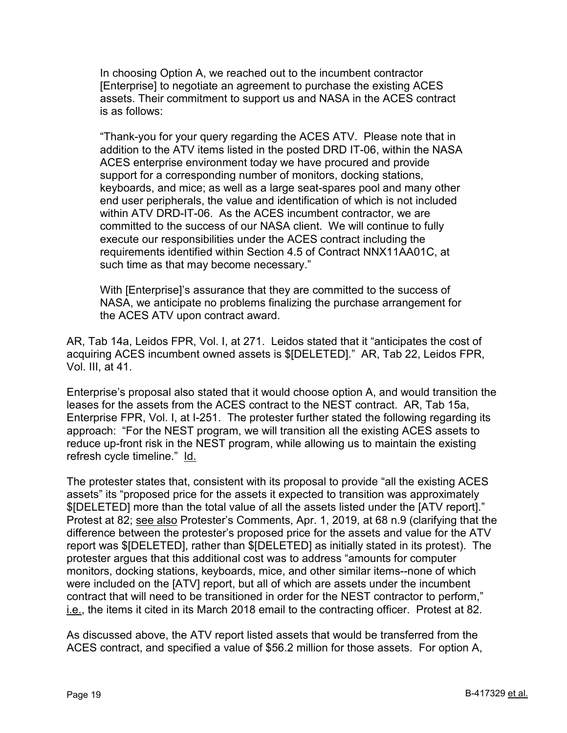In choosing Option A, we reached out to the incumbent contractor [Enterprise] to negotiate an agreement to purchase the existing ACES assets. Their commitment to support us and NASA in the ACES contract is as follows:

"Thank-you for your query regarding the ACES ATV. Please note that in addition to the ATV items listed in the posted DRD IT-06, within the NASA ACES enterprise environment today we have procured and provide support for a corresponding number of monitors, docking stations, keyboards, and mice; as well as a large seat-spares pool and many other end user peripherals, the value and identification of which is not included within ATV DRD-IT-06. As the ACES incumbent contractor, we are committed to the success of our NASA client. We will continue to fully execute our responsibilities under the ACES contract including the requirements identified within Section 4.5 of Contract NNX11AA01C, at such time as that may become necessary."

With [Enterprise]'s assurance that they are committed to the success of NASA, we anticipate no problems finalizing the purchase arrangement for the ACES ATV upon contract award.

AR, Tab 14a, Leidos FPR, Vol. I, at 271. Leidos stated that it "anticipates the cost of acquiring ACES incumbent owned assets is \$[DELETED]." AR, Tab 22, Leidos FPR, Vol. III, at 41.

Enterprise's proposal also stated that it would choose option A, and would transition the leases for the assets from the ACES contract to the NEST contract. AR, Tab 15a, Enterprise FPR, Vol. I, at I-251. The protester further stated the following regarding its approach: "For the NEST program, we will transition all the existing ACES assets to reduce up-front risk in the NEST program, while allowing us to maintain the existing refresh cycle timeline." Id.

The protester states that, consistent with its proposal to provide "all the existing ACES assets" its "proposed price for the assets it expected to transition was approximately \$[DELETED] more than the total value of all the assets listed under the [ATV report]." Protest at 82; see also Protester's Comments, Apr. 1, 2019, at 68 n.9 (clarifying that the difference between the protester's proposed price for the assets and value for the ATV report was \$[DELETED], rather than \$[DELETED] as initially stated in its protest). The protester argues that this additional cost was to address "amounts for computer monitors, docking stations, keyboards, mice, and other similar items--none of which were included on the [ATV] report, but all of which are assets under the incumbent contract that will need to be transitioned in order for the NEST contractor to perform," i.e., the items it cited in its March 2018 email to the contracting officer. Protest at 82.

As discussed above, the ATV report listed assets that would be transferred from the ACES contract, and specified a value of \$56.2 million for those assets. For option A,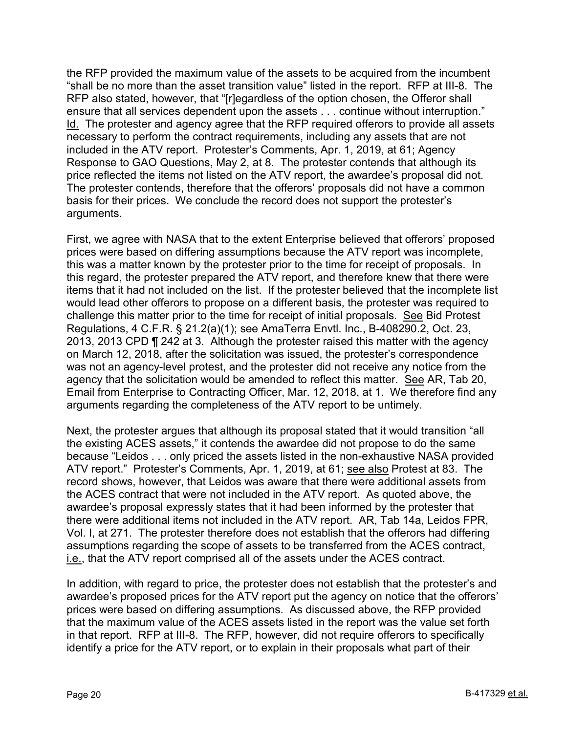the RFP provided the maximum value of the assets to be acquired from the incumbent "shall be no more than the asset transition value" listed in the report. RFP at III-8. The RFP also stated, however, that "[r]egardless of the option chosen, the Offeror shall ensure that all services dependent upon the assets . . . continue without interruption." Id. The protester and agency agree that the RFP required offerors to provide all assets necessary to perform the contract requirements, including any assets that are not included in the ATV report. Protester's Comments, Apr. 1, 2019, at 61; Agency Response to GAO Questions, May 2, at 8. The protester contends that although its price reflected the items not listed on the ATV report, the awardee's proposal did not. The protester contends, therefore that the offerors' proposals did not have a common basis for their prices. We conclude the record does not support the protester's arguments.

First, we agree with NASA that to the extent Enterprise believed that offerors' proposed prices were based on differing assumptions because the ATV report was incomplete, this was a matter known by the protester prior to the time for receipt of proposals. In this regard, the protester prepared the ATV report, and therefore knew that there were items that it had not included on the list. If the protester believed that the incomplete list would lead other offerors to propose on a different basis, the protester was required to challenge this matter prior to the time for receipt of initial proposals. See Bid Protest Regulations, 4 C.F.R. § 21.2(a)(1); see AmaTerra Envtl. Inc., B-408290.2, Oct. 23, 2013, 2013 CPD ¶ 242 at 3. Although the protester raised this matter with the agency on March 12, 2018, after the solicitation was issued, the protester's correspondence was not an agency-level protest, and the protester did not receive any notice from the agency that the solicitation would be amended to reflect this matter. See AR, Tab 20, Email from Enterprise to Contracting Officer, Mar. 12, 2018, at 1. We therefore find any arguments regarding the completeness of the ATV report to be untimely.

Next, the protester argues that although its proposal stated that it would transition "all the existing ACES assets," it contends the awardee did not propose to do the same because "Leidos . . . only priced the assets listed in the non-exhaustive NASA provided ATV report." Protester's Comments, Apr. 1, 2019, at 61; see also Protest at 83. The record shows, however, that Leidos was aware that there were additional assets from the ACES contract that were not included in the ATV report. As quoted above, the awardee's proposal expressly states that it had been informed by the protester that there were additional items not included in the ATV report. AR, Tab 14a, Leidos FPR, Vol. I, at 271. The protester therefore does not establish that the offerors had differing assumptions regarding the scope of assets to be transferred from the ACES contract, i.e., that the ATV report comprised all of the assets under the ACES contract.

In addition, with regard to price, the protester does not establish that the protester's and awardee's proposed prices for the ATV report put the agency on notice that the offerors' prices were based on differing assumptions. As discussed above, the RFP provided that the maximum value of the ACES assets listed in the report was the value set forth in that report. RFP at III-8. The RFP, however, did not require offerors to specifically identify a price for the ATV report, or to explain in their proposals what part of their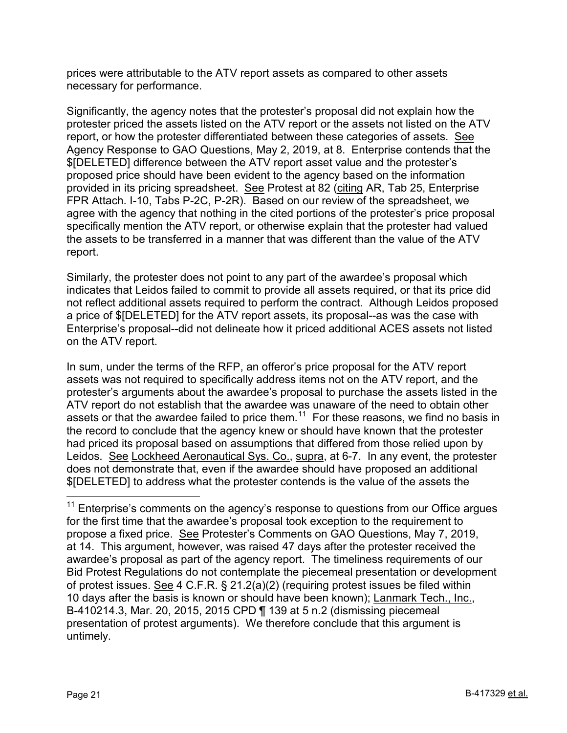prices were attributable to the ATV report assets as compared to other assets necessary for performance.

Significantly, the agency notes that the protester's proposal did not explain how the protester priced the assets listed on the ATV report or the assets not listed on the ATV report, or how the protester differentiated between these categories of assets. See Agency Response to GAO Questions, May 2, 2019, at 8. Enterprise contends that the \$[DELETED] difference between the ATV report asset value and the protester's proposed price should have been evident to the agency based on the information provided in its pricing spreadsheet. See Protest at 82 (citing AR, Tab 25, Enterprise FPR Attach. I-10, Tabs P-2C, P-2R). Based on our review of the spreadsheet, we agree with the agency that nothing in the cited portions of the protester's price proposal specifically mention the ATV report, or otherwise explain that the protester had valued the assets to be transferred in a manner that was different than the value of the ATV report.

Similarly, the protester does not point to any part of the awardee's proposal which indicates that Leidos failed to commit to provide all assets required, or that its price did not reflect additional assets required to perform the contract. Although Leidos proposed a price of \$[DELETED] for the ATV report assets, its proposal--as was the case with Enterprise's proposal--did not delineate how it priced additional ACES assets not listed on the ATV report.

In sum, under the terms of the RFP, an offeror's price proposal for the ATV report assets was not required to specifically address items not on the ATV report, and the protester's arguments about the awardee's proposal to purchase the assets listed in the ATV report do not establish that the awardee was unaware of the need to obtain other assets or that the awardee failed to price them.<sup>11</sup> For these reasons, we find no basis in the record to conclude that the agency knew or should have known that the protester had priced its proposal based on assumptions that differed from those relied upon by Leidos. See Lockheed Aeronautical Sys. Co., supra, at 6-7. In any event, the protester does not demonstrate that, even if the awardee should have proposed an additional \$[DELETED] to address what the protester contends is the value of the assets the

<span id="page-20-0"></span> $11$  Enterprise's comments on the agency's response to questions from our Office argues for the first time that the awardee's proposal took exception to the requirement to propose a fixed price. See Protester's Comments on GAO Questions, May 7, 2019, at 14. This argument, however, was raised 47 days after the protester received the awardee's proposal as part of the agency report. The timeliness requirements of our Bid Protest Regulations do not contemplate the piecemeal presentation or development of protest issues. See 4 C.F.R. § 21.2(a)(2) (requiring protest issues be filed within 10 days after the basis is known or should have been known); Lanmark Tech., Inc., B-410214.3, Mar. 20, 2015, 2015 CPD ¶ 139 at 5 n.2 (dismissing piecemeal presentation of protest arguments). We therefore conclude that this argument is untimely.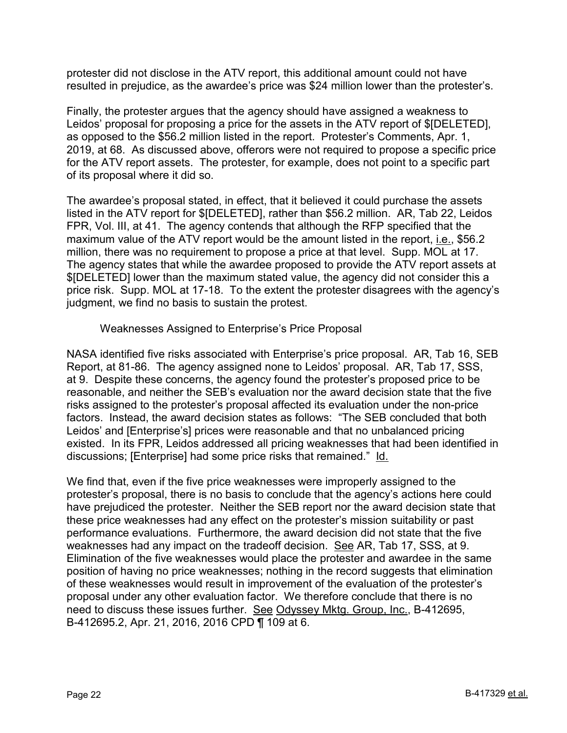protester did not disclose in the ATV report, this additional amount could not have resulted in prejudice, as the awardee's price was \$24 million lower than the protester's.

Finally, the protester argues that the agency should have assigned a weakness to Leidos' proposal for proposing a price for the assets in the ATV report of \$[DELETED], as opposed to the \$56.2 million listed in the report. Protester's Comments, Apr. 1, 2019, at 68. As discussed above, offerors were not required to propose a specific price for the ATV report assets. The protester, for example, does not point to a specific part of its proposal where it did so.

The awardee's proposal stated, in effect, that it believed it could purchase the assets listed in the ATV report for \$[DELETED], rather than \$56.2 million. AR, Tab 22, Leidos FPR, Vol. III, at 41. The agency contends that although the RFP specified that the maximum value of the ATV report would be the amount listed in the report, i.e., \$56.2 million, there was no requirement to propose a price at that level. Supp. MOL at 17. The agency states that while the awardee proposed to provide the ATV report assets at \$[DELETED] lower than the maximum stated value, the agency did not consider this a price risk. Supp. MOL at 17-18. To the extent the protester disagrees with the agency's judgment, we find no basis to sustain the protest.

Weaknesses Assigned to Enterprise's Price Proposal

NASA identified five risks associated with Enterprise's price proposal. AR, Tab 16, SEB Report, at 81-86. The agency assigned none to Leidos' proposal. AR, Tab 17, SSS, at 9. Despite these concerns, the agency found the protester's proposed price to be reasonable, and neither the SEB's evaluation nor the award decision state that the five risks assigned to the protester's proposal affected its evaluation under the non-price factors. Instead, the award decision states as follows: "The SEB concluded that both Leidos' and [Enterprise's] prices were reasonable and that no unbalanced pricing existed. In its FPR, Leidos addressed all pricing weaknesses that had been identified in discussions; [Enterprise] had some price risks that remained." Id.

We find that, even if the five price weaknesses were improperly assigned to the protester's proposal, there is no basis to conclude that the agency's actions here could have prejudiced the protester. Neither the SEB report nor the award decision state that these price weaknesses had any effect on the protester's mission suitability or past performance evaluations. Furthermore, the award decision did not state that the five weaknesses had any impact on the tradeoff decision. See AR, Tab 17, SSS, at 9. Elimination of the five weaknesses would place the protester and awardee in the same position of having no price weaknesses; nothing in the record suggests that elimination of these weaknesses would result in improvement of the evaluation of the protester's proposal under any other evaluation factor. We therefore conclude that there is no need to discuss these issues further. See Odyssey Mktg. Group, Inc., B-412695, B-412695.2, Apr. 21, 2016, 2016 CPD ¶ 109 at 6.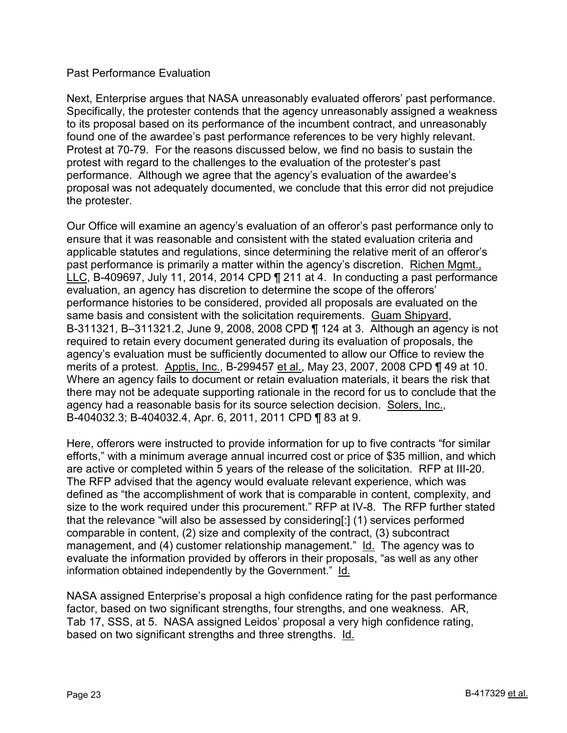#### Past Performance Evaluation

Next, Enterprise argues that NASA unreasonably evaluated offerors' past performance. Specifically, the protester contends that the agency unreasonably assigned a weakness to its proposal based on its performance of the incumbent contract, and unreasonably found one of the awardee's past performance references to be very highly relevant. Protest at 70-79. For the reasons discussed below, we find no basis to sustain the protest with regard to the challenges to the evaluation of the protester's past performance. Although we agree that the agency's evaluation of the awardee's proposal was not adequately documented, we conclude that this error did not prejudice the protester.

Our Office will examine an agency's evaluation of an offeror's past performance only to ensure that it was reasonable and consistent with the stated evaluation criteria and applicable statutes and regulations, since determining the relative merit of an offeror's past performance is primarily a matter within the agency's discretion. Richen Mgmt., LLC, B-409697, July 11, 2014, 2014 CPD ¶ 211 at 4. In conducting a past performance evaluation, an agency has discretion to determine the scope of the offerors' performance histories to be considered, provided all proposals are evaluated on the same basis and consistent with the solicitation requirements. Guam Shipyard, B-311321, B–311321.2, June 9, 2008, 2008 CPD ¶ 124 at 3. Although an agency is not required to retain every document generated during its evaluation of proposals, the agency's evaluation must be sufficiently documented to allow our Office to review the merits of a protest. Apptis, Inc., B-299457 et al., May 23, 2007, 2008 CPD ¶ 49 at 10. Where an agency fails to document or retain evaluation materials, it bears the risk that there may not be adequate supporting rationale in the record for us to conclude that the agency had a reasonable basis for its source selection decision. Solers, Inc., B-404032.3; B-404032.4, Apr. 6, 2011, 2011 CPD ¶ 83 at 9.

Here, offerors were instructed to provide information for up to five contracts "for similar efforts," with a minimum average annual incurred cost or price of \$35 million, and which are active or completed within 5 years of the release of the solicitation. RFP at III-20. The RFP advised that the agency would evaluate relevant experience, which was defined as "the accomplishment of work that is comparable in content, complexity, and size to the work required under this procurement." RFP at IV-8. The RFP further stated that the relevance "will also be assessed by considering[:] (1) services performed comparable in content, (2) size and complexity of the contract, (3) subcontract management, and (4) customer relationship management." Id. The agency was to evaluate the information provided by offerors in their proposals, "as well as any other information obtained independently by the Government." Id.

NASA assigned Enterprise's proposal a high confidence rating for the past performance factor, based on two significant strengths, four strengths, and one weakness. AR, Tab 17, SSS, at 5. NASA assigned Leidos' proposal a very high confidence rating, based on two significant strengths and three strengths. Id.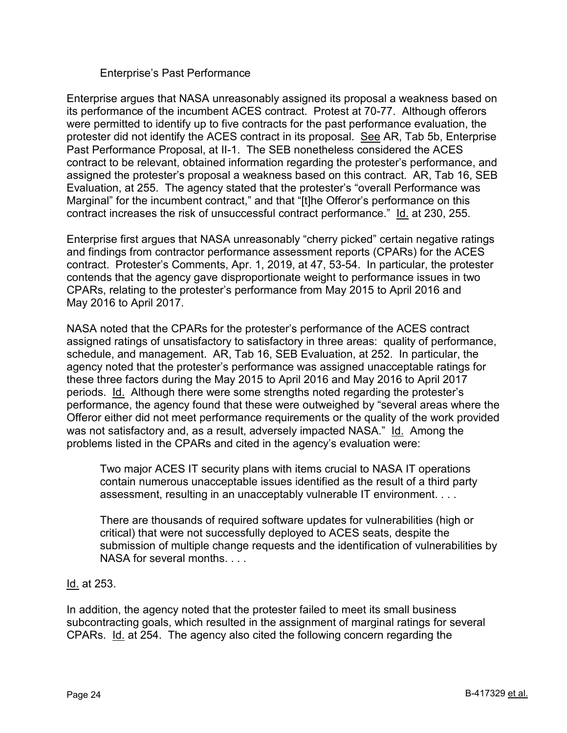#### Enterprise's Past Performance

Enterprise argues that NASA unreasonably assigned its proposal a weakness based on its performance of the incumbent ACES contract. Protest at 70-77. Although offerors were permitted to identify up to five contracts for the past performance evaluation, the protester did not identify the ACES contract in its proposal. See AR, Tab 5b, Enterprise Past Performance Proposal, at II-1. The SEB nonetheless considered the ACES contract to be relevant, obtained information regarding the protester's performance, and assigned the protester's proposal a weakness based on this contract. AR, Tab 16, SEB Evaluation, at 255. The agency stated that the protester's "overall Performance was Marginal" for the incumbent contract," and that "[t]he Offeror's performance on this contract increases the risk of unsuccessful contract performance." Id. at 230, 255.

Enterprise first argues that NASA unreasonably "cherry picked" certain negative ratings and findings from contractor performance assessment reports (CPARs) for the ACES contract. Protester's Comments, Apr. 1, 2019, at 47, 53-54. In particular, the protester contends that the agency gave disproportionate weight to performance issues in two CPARs, relating to the protester's performance from May 2015 to April 2016 and May 2016 to April 2017.

NASA noted that the CPARs for the protester's performance of the ACES contract assigned ratings of unsatisfactory to satisfactory in three areas: quality of performance, schedule, and management. AR, Tab 16, SEB Evaluation, at 252. In particular, the agency noted that the protester's performance was assigned unacceptable ratings for these three factors during the May 2015 to April 2016 and May 2016 to April 2017 periods. Id. Although there were some strengths noted regarding the protester's performance, the agency found that these were outweighed by "several areas where the Offeror either did not meet performance requirements or the quality of the work provided was not satisfactory and, as a result, adversely impacted NASA." Id. Among the problems listed in the CPARs and cited in the agency's evaluation were:

Two major ACES IT security plans with items crucial to NASA IT operations contain numerous unacceptable issues identified as the result of a third party assessment, resulting in an unacceptably vulnerable IT environment. . . .

There are thousands of required software updates for vulnerabilities (high or critical) that were not successfully deployed to ACES seats, despite the submission of multiple change requests and the identification of vulnerabilities by NASA for several months. . . .

<u>ld.</u> at 253.

In addition, the agency noted that the protester failed to meet its small business subcontracting goals, which resulted in the assignment of marginal ratings for several CPARs. Id. at 254. The agency also cited the following concern regarding the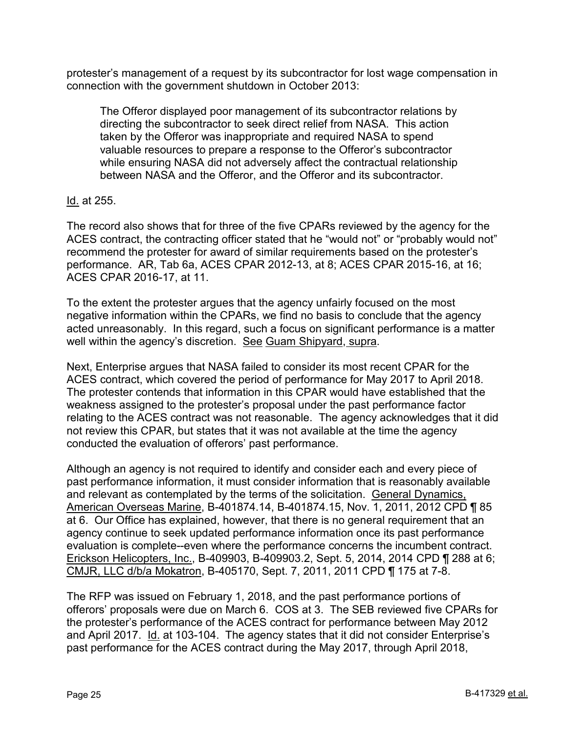protester's management of a request by its subcontractor for lost wage compensation in connection with the government shutdown in October 2013:

The Offeror displayed poor management of its subcontractor relations by directing the subcontractor to seek direct relief from NASA. This action taken by the Offeror was inappropriate and required NASA to spend valuable resources to prepare a response to the Offeror's subcontractor while ensuring NASA did not adversely affect the contractual relationship between NASA and the Offeror, and the Offeror and its subcontractor.

# Id. at 255.

The record also shows that for three of the five CPARs reviewed by the agency for the ACES contract, the contracting officer stated that he "would not" or "probably would not" recommend the protester for award of similar requirements based on the protester's performance. AR, Tab 6a, ACES CPAR 2012-13, at 8; ACES CPAR 2015-16, at 16; ACES CPAR 2016-17, at 11.

To the extent the protester argues that the agency unfairly focused on the most negative information within the CPARs, we find no basis to conclude that the agency acted unreasonably. In this regard, such a focus on significant performance is a matter well within the agency's discretion. See Guam Shipyard, supra.

Next, Enterprise argues that NASA failed to consider its most recent CPAR for the ACES contract, which covered the period of performance for May 2017 to April 2018. The protester contends that information in this CPAR would have established that the weakness assigned to the protester's proposal under the past performance factor relating to the ACES contract was not reasonable. The agency acknowledges that it did not review this CPAR, but states that it was not available at the time the agency conducted the evaluation of offerors' past performance.

Although an agency is not required to identify and consider each and every piece of past performance information, it must consider information that is reasonably available and relevant as contemplated by the terms of the solicitation. General Dynamics, American Overseas Marine, B-401874.14, B-401874.15, Nov. 1, 2011, 2012 CPD ¶ 85 at 6. Our Office has explained, however, that there is no general requirement that an agency continue to seek updated performance information once its past performance evaluation is complete--even where the performance concerns the incumbent contract. Erickson Helicopters, Inc., B-409903, B-409903.2, Sept. 5, 2014, 2014 CPD ¶ 288 at 6; CMJR, LLC d/b/a Mokatron, B-405170, Sept. 7, 2011, 2011 CPD ¶ 175 at 7-8.

The RFP was issued on February 1, 2018, and the past performance portions of offerors' proposals were due on March 6. COS at 3. The SEB reviewed five CPARs for the protester's performance of the ACES contract for performance between May 2012 and April 2017. Id. at 103-104. The agency states that it did not consider Enterprise's past performance for the ACES contract during the May 2017, through April 2018,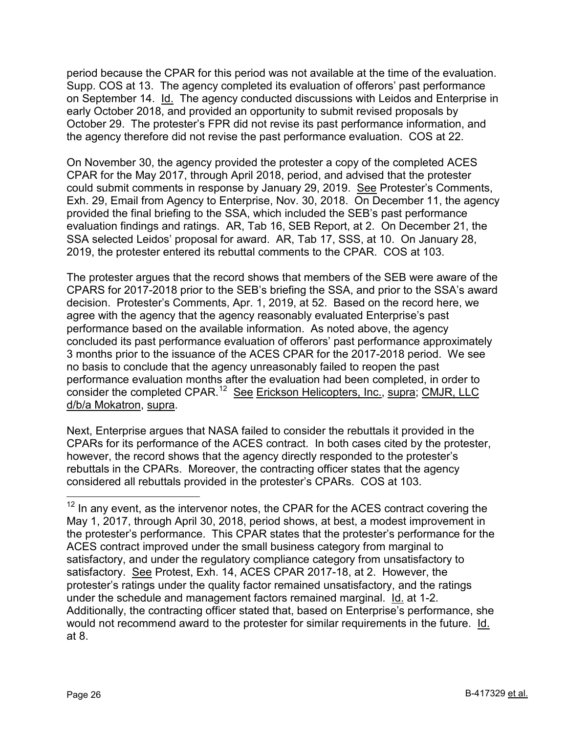period because the CPAR for this period was not available at the time of the evaluation. Supp. COS at 13. The agency completed its evaluation of offerors' past performance on September 14. Id. The agency conducted discussions with Leidos and Enterprise in early October 2018, and provided an opportunity to submit revised proposals by October 29. The protester's FPR did not revise its past performance information, and the agency therefore did not revise the past performance evaluation. COS at 22.

On November 30, the agency provided the protester a copy of the completed ACES CPAR for the May 2017, through April 2018, period, and advised that the protester could submit comments in response by January 29, 2019. See Protester's Comments, Exh. 29, Email from Agency to Enterprise, Nov. 30, 2018. On December 11, the agency provided the final briefing to the SSA, which included the SEB's past performance evaluation findings and ratings. AR, Tab 16, SEB Report, at 2. On December 21, the SSA selected Leidos' proposal for award. AR, Tab 17, SSS, at 10. On January 28, 2019, the protester entered its rebuttal comments to the CPAR. COS at 103.

The protester argues that the record shows that members of the SEB were aware of the CPARS for 2017-2018 prior to the SEB's briefing the SSA, and prior to the SSA's award decision. Protester's Comments, Apr. 1, 2019, at 52. Based on the record here, we agree with the agency that the agency reasonably evaluated Enterprise's past performance based on the available information. As noted above, the agency concluded its past performance evaluation of offerors' past performance approximately 3 months prior to the issuance of the ACES CPAR for the 2017-2018 period. We see no basis to conclude that the agency unreasonably failed to reopen the past performance evaluation months after the evaluation had been completed, in order to consider the completed CPAR.[12](#page-25-0) See Erickson Helicopters, Inc., supra; CMJR, LLC d/b/a Mokatron, supra.

Next, Enterprise argues that NASA failed to consider the rebuttals it provided in the CPARs for its performance of the ACES contract. In both cases cited by the protester, however, the record shows that the agency directly responded to the protester's rebuttals in the CPARs. Moreover, the contracting officer states that the agency considered all rebuttals provided in the protester's CPARs. COS at 103.

<span id="page-25-0"></span> $12$  In any event, as the intervenor notes, the CPAR for the ACES contract covering the May 1, 2017, through April 30, 2018, period shows, at best, a modest improvement in the protester's performance. This CPAR states that the protester's performance for the ACES contract improved under the small business category from marginal to satisfactory, and under the regulatory compliance category from unsatisfactory to satisfactory. See Protest, Exh. 14, ACES CPAR 2017-18, at 2. However, the protester's ratings under the quality factor remained unsatisfactory, and the ratings under the schedule and management factors remained marginal. Id. at 1-2. Additionally, the contracting officer stated that, based on Enterprise's performance, she would not recommend award to the protester for similar requirements in the future. Id. at 8.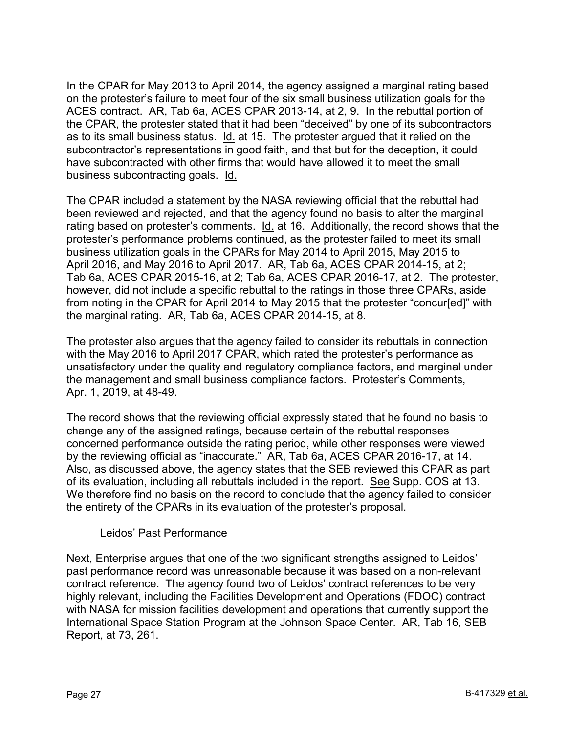In the CPAR for May 2013 to April 2014, the agency assigned a marginal rating based on the protester's failure to meet four of the six small business utilization goals for the ACES contract. AR, Tab 6a, ACES CPAR 2013-14, at 2, 9. In the rebuttal portion of the CPAR, the protester stated that it had been "deceived" by one of its subcontractors as to its small business status. Id. at 15. The protester argued that it relied on the subcontractor's representations in good faith, and that but for the deception, it could have subcontracted with other firms that would have allowed it to meet the small business subcontracting goals. Id.

The CPAR included a statement by the NASA reviewing official that the rebuttal had been reviewed and rejected, and that the agency found no basis to alter the marginal rating based on protester's comments. Id. at 16. Additionally, the record shows that the protester's performance problems continued, as the protester failed to meet its small business utilization goals in the CPARs for May 2014 to April 2015, May 2015 to April 2016, and May 2016 to April 2017. AR, Tab 6a, ACES CPAR 2014-15, at 2; Tab 6a, ACES CPAR 2015-16, at 2; Tab 6a, ACES CPAR 2016-17, at 2. The protester, however, did not include a specific rebuttal to the ratings in those three CPARs, aside from noting in the CPAR for April 2014 to May 2015 that the protester "concur[ed]" with the marginal rating. AR, Tab 6a, ACES CPAR 2014-15, at 8.

The protester also argues that the agency failed to consider its rebuttals in connection with the May 2016 to April 2017 CPAR, which rated the protester's performance as unsatisfactory under the quality and regulatory compliance factors, and marginal under the management and small business compliance factors. Protester's Comments, Apr. 1, 2019, at 48-49.

The record shows that the reviewing official expressly stated that he found no basis to change any of the assigned ratings, because certain of the rebuttal responses concerned performance outside the rating period, while other responses were viewed by the reviewing official as "inaccurate." AR, Tab 6a, ACES CPAR 2016-17, at 14. Also, as discussed above, the agency states that the SEB reviewed this CPAR as part of its evaluation, including all rebuttals included in the report. See Supp. COS at 13. We therefore find no basis on the record to conclude that the agency failed to consider the entirety of the CPARs in its evaluation of the protester's proposal.

# Leidos' Past Performance

Next, Enterprise argues that one of the two significant strengths assigned to Leidos' past performance record was unreasonable because it was based on a non-relevant contract reference. The agency found two of Leidos' contract references to be very highly relevant, including the Facilities Development and Operations (FDOC) contract with NASA for mission facilities development and operations that currently support the International Space Station Program at the Johnson Space Center. AR, Tab 16, SEB Report, at 73, 261.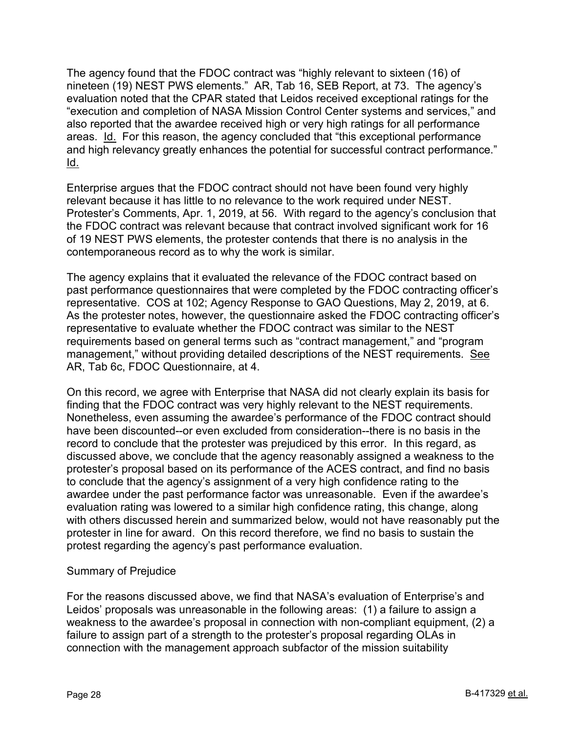The agency found that the FDOC contract was "highly relevant to sixteen (16) of nineteen (19) NEST PWS elements." AR, Tab 16, SEB Report, at 73. The agency's evaluation noted that the CPAR stated that Leidos received exceptional ratings for the "execution and completion of NASA Mission Control Center systems and services," and also reported that the awardee received high or very high ratings for all performance areas. Id. For this reason, the agency concluded that "this exceptional performance and high relevancy greatly enhances the potential for successful contract performance." Id.

Enterprise argues that the FDOC contract should not have been found very highly relevant because it has little to no relevance to the work required under NEST. Protester's Comments, Apr. 1, 2019, at 56. With regard to the agency's conclusion that the FDOC contract was relevant because that contract involved significant work for 16 of 19 NEST PWS elements, the protester contends that there is no analysis in the contemporaneous record as to why the work is similar.

The agency explains that it evaluated the relevance of the FDOC contract based on past performance questionnaires that were completed by the FDOC contracting officer's representative. COS at 102; Agency Response to GAO Questions, May 2, 2019, at 6. As the protester notes, however, the questionnaire asked the FDOC contracting officer's representative to evaluate whether the FDOC contract was similar to the NEST requirements based on general terms such as "contract management," and "program management," without providing detailed descriptions of the NEST requirements. See AR, Tab 6c, FDOC Questionnaire, at 4.

On this record, we agree with Enterprise that NASA did not clearly explain its basis for finding that the FDOC contract was very highly relevant to the NEST requirements. Nonetheless, even assuming the awardee's performance of the FDOC contract should have been discounted--or even excluded from consideration--there is no basis in the record to conclude that the protester was prejudiced by this error. In this regard, as discussed above, we conclude that the agency reasonably assigned a weakness to the protester's proposal based on its performance of the ACES contract, and find no basis to conclude that the agency's assignment of a very high confidence rating to the awardee under the past performance factor was unreasonable. Even if the awardee's evaluation rating was lowered to a similar high confidence rating, this change, along with others discussed herein and summarized below, would not have reasonably put the protester in line for award. On this record therefore, we find no basis to sustain the protest regarding the agency's past performance evaluation.

# Summary of Prejudice

For the reasons discussed above, we find that NASA's evaluation of Enterprise's and Leidos' proposals was unreasonable in the following areas: (1) a failure to assign a weakness to the awardee's proposal in connection with non-compliant equipment, (2) a failure to assign part of a strength to the protester's proposal regarding OLAs in connection with the management approach subfactor of the mission suitability